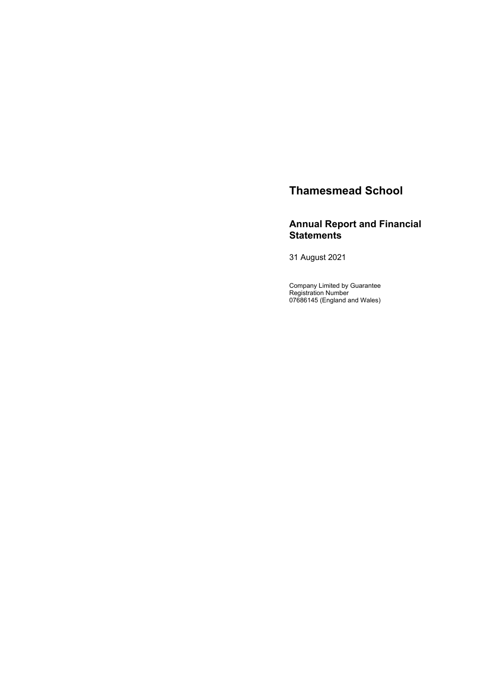# **Thamesmead School**

# **Annual Report and Financial Statements**

31 August 2021

Company Limited by Guarantee Registration Number 07686145 (England and Wales)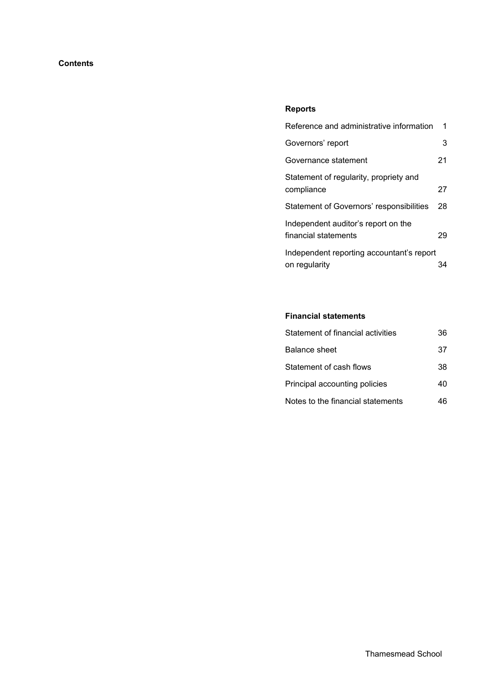# **Contents**

# **Reports**

| Reference and administrative information        | 1  |
|-------------------------------------------------|----|
| Governors' report                               | 3  |
| Governance statement                            | 21 |
| Statement of regularity, propriety and          |    |
| compliance                                      | 27 |
| <b>Statement of Governors' responsibilities</b> | 28 |
| Independent auditor's report on the             |    |
| financial statements                            | 29 |
| Independent reporting accountant's report       |    |
| on regularity                                   |    |

# **Financial statements**

| Statement of financial activities | 36 |
|-----------------------------------|----|
| Balance sheet                     | 37 |
| Statement of cash flows           | 38 |
| Principal accounting policies     | 40 |
| Notes to the financial statements | 46 |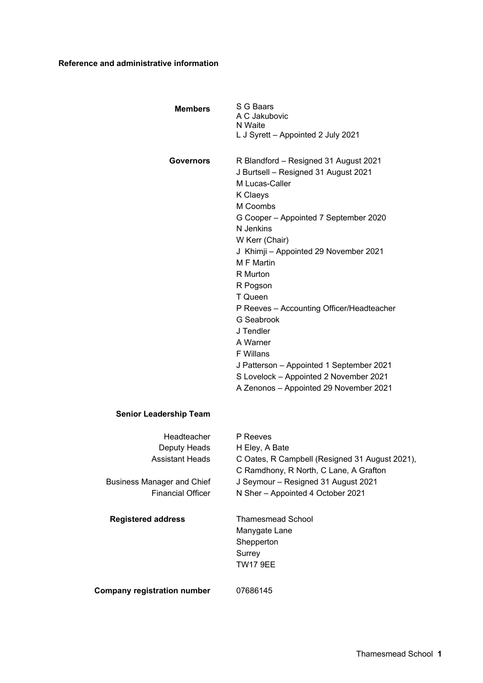# **Reference and administrative information**

| <b>Members</b>                                        | S G Baars<br>A C Jakubovic<br>N Waite<br>L J Syrett - Appointed 2 July 2021                                                                                                                                                                                                                                                                                                                                                                                                                                                       |
|-------------------------------------------------------|-----------------------------------------------------------------------------------------------------------------------------------------------------------------------------------------------------------------------------------------------------------------------------------------------------------------------------------------------------------------------------------------------------------------------------------------------------------------------------------------------------------------------------------|
| <b>Governors</b>                                      | R Blandford - Resigned 31 August 2021<br>J Burtsell - Resigned 31 August 2021<br>M Lucas-Caller<br>K Claeys<br>M Coombs<br>G Cooper - Appointed 7 September 2020<br>N Jenkins<br>W Kerr (Chair)<br>J Khimji - Appointed 29 November 2021<br>M F Martin<br>R Murton<br>R Pogson<br>T Queen<br>P Reeves - Accounting Officer/Headteacher<br>G Seabrook<br>J Tendler<br>A Warner<br><b>F</b> Willans<br>J Patterson - Appointed 1 September 2021<br>S Lovelock - Appointed 2 November 2021<br>A Zenonos - Appointed 29 November 2021 |
| <b>Senior Leadership Team</b>                         |                                                                                                                                                                                                                                                                                                                                                                                                                                                                                                                                   |
| Headteacher<br>Deputy Heads<br><b>Assistant Heads</b> | P Reeves<br>H Eley, A Bate<br>C Oates, R Campbell (Resigned 31 August 2021),<br>C Ramdhony, R North, C Lane, A Grafton                                                                                                                                                                                                                                                                                                                                                                                                            |

Business Manager and Chief Financial Officer

**Registered address** Thamesmead School Manygate Lane Shepperton Surrey TW17 9EE

J Seymour – Resigned 31 August 2021 N Sher – Appointed 4 October 2021

**Company registration number** 07686145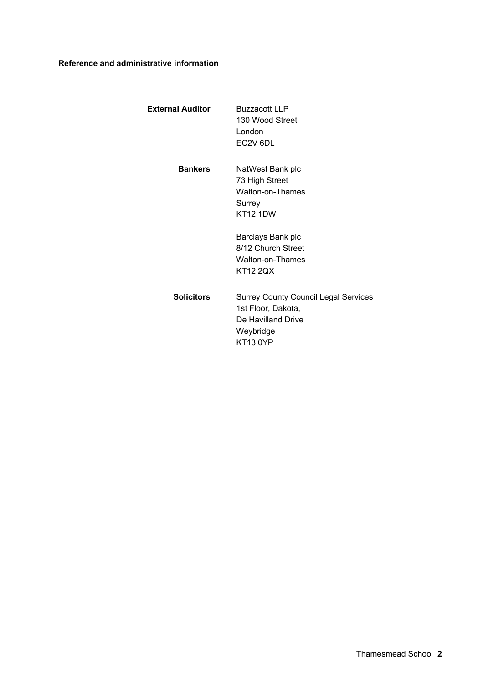# **Reference and administrative information**

| External Auditor | Buzzacott LLP        |
|------------------|----------------------|
|                  | 130 Wood Street      |
|                  | London               |
|                  | EC <sub>2V</sub> 6DL |
|                  |                      |

**Bankers** NatWest Bank plc 73 High Street Walton-on-Thames Surrey KT12 1DW

> Barclays Bank plc 8/12 Church Street Walton-on-Thames KT12 2QX

**Solicitors** Surrey County Council Legal Services 1st Floor, Dakota, De Havilland Drive Weybridge KT13 0YP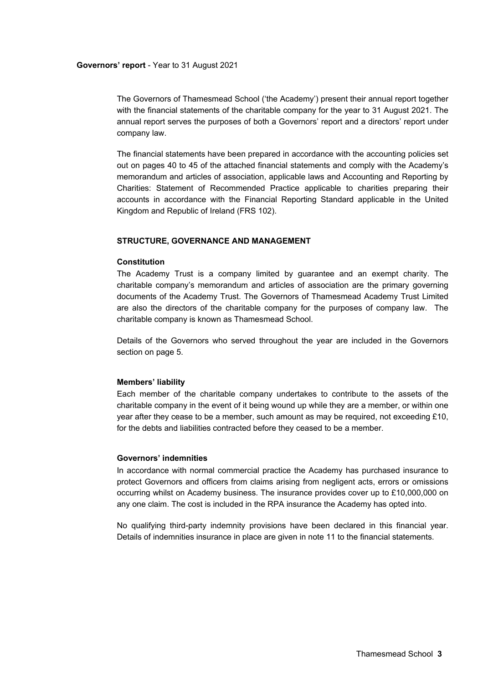The Governors of Thamesmead School ('the Academy') present their annual report together with the financial statements of the charitable company for the year to 31 August 2021. The annual report serves the purposes of both a Governors' report and a directors' report under company law.

The financial statements have been prepared in accordance with the accounting policies set out on pages 40 to 45 of the attached financial statements and comply with the Academy's memorandum and articles of association, applicable laws and Accounting and Reporting by Charities: Statement of Recommended Practice applicable to charities preparing their accounts in accordance with the Financial Reporting Standard applicable in the United Kingdom and Republic of Ireland (FRS 102).

#### **STRUCTURE, GOVERNANCE AND MANAGEMENT**

# **Constitution**

The Academy Trust is a company limited by guarantee and an exempt charity. The charitable company's memorandum and articles of association are the primary governing documents of the Academy Trust. The Governors of Thamesmead Academy Trust Limited are also the directors of the charitable company for the purposes of company law. The charitable company is known as Thamesmead School.

Details of the Governors who served throughout the year are included in the Governors section on page 5.

#### **Members' liability**

Each member of the charitable company undertakes to contribute to the assets of the charitable company in the event of it being wound up while they are a member, or within one year after they cease to be a member, such amount as may be required, not exceeding £10, for the debts and liabilities contracted before they ceased to be a member.

# **Governors' indemnities**

In accordance with normal commercial practice the Academy has purchased insurance to protect Governors and officers from claims arising from negligent acts, errors or omissions occurring whilst on Academy business. The insurance provides cover up to £10,000,000 on any one claim. The cost is included in the RPA insurance the Academy has opted into.

No qualifying third-party indemnity provisions have been declared in this financial year. Details of indemnities insurance in place are given in note 11 to the financial statements.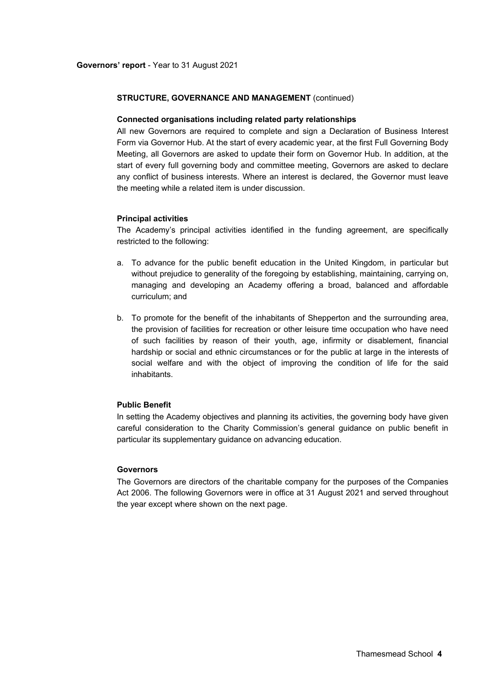#### **Connected organisations including related party relationships**

All new Governors are required to complete and sign a Declaration of Business Interest Form via Governor Hub. At the start of every academic year, at the first Full Governing Body Meeting, all Governors are asked to update their form on Governor Hub. In addition, at the start of every full governing body and committee meeting, Governors are asked to declare any conflict of business interests. Where an interest is declared, the Governor must leave the meeting while a related item is under discussion.

### **Principal activities**

The Academy's principal activities identified in the funding agreement, are specifically restricted to the following:

- a. To advance for the public benefit education in the United Kingdom, in particular but without prejudice to generality of the foregoing by establishing, maintaining, carrying on, managing and developing an Academy offering a broad, balanced and affordable curriculum; and
- b. To promote for the benefit of the inhabitants of Shepperton and the surrounding area, the provision of facilities for recreation or other leisure time occupation who have need of such facilities by reason of their youth, age, infirmity or disablement, financial hardship or social and ethnic circumstances or for the public at large in the interests of social welfare and with the object of improving the condition of life for the said inhabitants.

# **Public Benefit**

In setting the Academy objectives and planning its activities, the governing body have given careful consideration to the Charity Commission's general guidance on public benefit in particular its supplementary guidance on advancing education.

# **Governors**

The Governors are directors of the charitable company for the purposes of the Companies Act 2006. The following Governors were in office at 31 August 2021 and served throughout the year except where shown on the next page.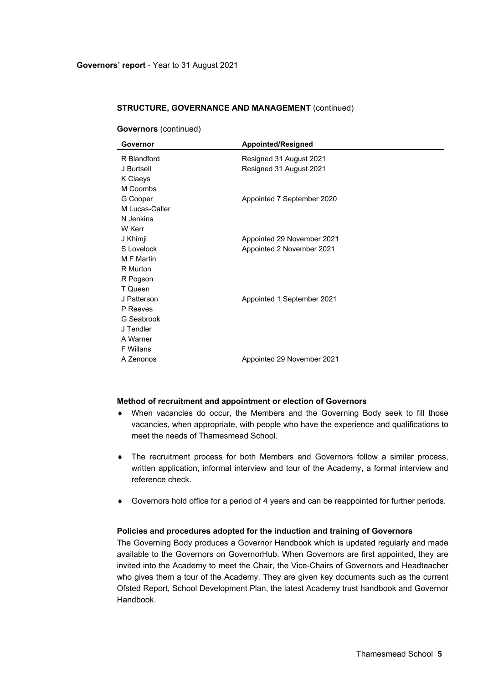| Governor         | <b>Appointed/Resigned</b>  |
|------------------|----------------------------|
| R Blandford      | Resigned 31 August 2021    |
| J Burtsell       | Resigned 31 August 2021    |
| K Claeys         |                            |
| M Coombs         |                            |
| G Cooper         | Appointed 7 September 2020 |
| M Lucas-Caller   |                            |
| N Jenkins        |                            |
| W Kerr           |                            |
| J Khimji         | Appointed 29 November 2021 |
| S Lovelock       | Appointed 2 November 2021  |
| M F Martin       |                            |
| R Murton         |                            |
| R Pogson         |                            |
| T Queen          |                            |
| J Patterson      | Appointed 1 September 2021 |
| P Reeves         |                            |
| G Seabrook       |                            |
| J Tendler        |                            |
| A Warner         |                            |
| <b>F</b> Willans |                            |
| A Zenonos        | Appointed 29 November 2021 |

**Governors** (continued)

#### **Method of recruitment and appointment or election of Governors**

- When vacancies do occur, the Members and the Governing Body seek to fill those vacancies, when appropriate, with people who have the experience and qualifications to meet the needs of Thamesmead School.
- The recruitment process for both Members and Governors follow a similar process, written application, informal interview and tour of the Academy, a formal interview and reference check.
- Governors hold office for a period of 4 years and can be reappointed for further periods.

#### **Policies and procedures adopted for the induction and training of Governors**

The Governing Body produces a Governor Handbook which is updated regularly and made available to the Governors on GovernorHub. When Governors are first appointed, they are invited into the Academy to meet the Chair, the Vice-Chairs of Governors and Headteacher who gives them a tour of the Academy. They are given key documents such as the current Ofsted Report, School Development Plan, the latest Academy trust handbook and Governor Handbook.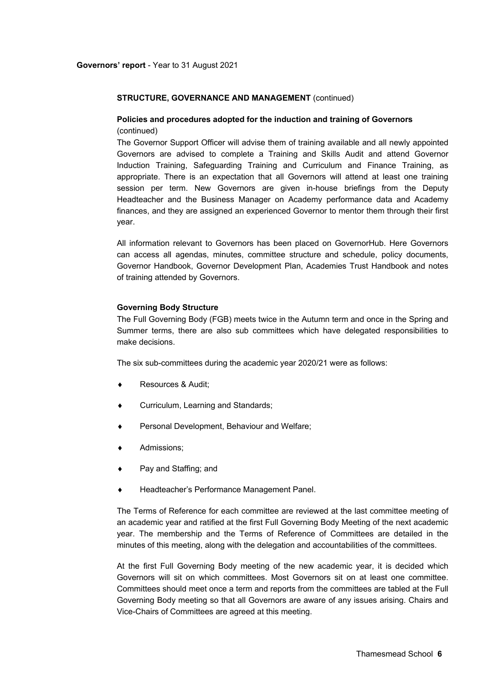# **Policies and procedures adopted for the induction and training of Governors**  (continued)

The Governor Support Officer will advise them of training available and all newly appointed Governors are advised to complete a Training and Skills Audit and attend Governor Induction Training, Safeguarding Training and Curriculum and Finance Training, as appropriate. There is an expectation that all Governors will attend at least one training session per term. New Governors are given in-house briefings from the Deputy Headteacher and the Business Manager on Academy performance data and Academy finances, and they are assigned an experienced Governor to mentor them through their first year.

All information relevant to Governors has been placed on GovernorHub. Here Governors can access all agendas, minutes, committee structure and schedule, policy documents, Governor Handbook, Governor Development Plan, Academies Trust Handbook and notes of training attended by Governors.

### **Governing Body Structure**

The Full Governing Body (FGB) meets twice in the Autumn term and once in the Spring and Summer terms, there are also sub committees which have delegated responsibilities to make decisions.

The six sub-committees during the academic year 2020/21 were as follows:

- Resources & Audit;
- Curriculum, Learning and Standards;
- Personal Development, Behaviour and Welfare;
- Admissions;
- Pay and Staffing; and
- Headteacher's Performance Management Panel.

The Terms of Reference for each committee are reviewed at the last committee meeting of an academic year and ratified at the first Full Governing Body Meeting of the next academic year. The membership and the Terms of Reference of Committees are detailed in the minutes of this meeting, along with the delegation and accountabilities of the committees.

At the first Full Governing Body meeting of the new academic year, it is decided which Governors will sit on which committees. Most Governors sit on at least one committee. Committees should meet once a term and reports from the committees are tabled at the Full Governing Body meeting so that all Governors are aware of any issues arising. Chairs and Vice-Chairs of Committees are agreed at this meeting.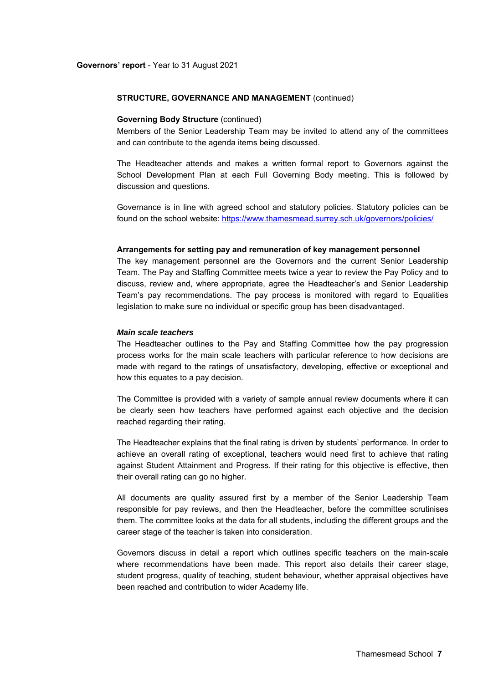#### **Governing Body Structure** (continued)

Members of the Senior Leadership Team may be invited to attend any of the committees and can contribute to the agenda items being discussed.

The Headteacher attends and makes a written formal report to Governors against the School Development Plan at each Full Governing Body meeting. This is followed by discussion and questions.

Governance is in line with agreed school and statutory policies. Statutory policies can be found on the school website: https://www.thamesmead.surrey.sch.uk/governors/policies/

#### **Arrangements for setting pay and remuneration of key management personnel**

The key management personnel are the Governors and the current Senior Leadership Team. The Pay and Staffing Committee meets twice a year to review the Pay Policy and to discuss, review and, where appropriate, agree the Headteacher's and Senior Leadership Team's pay recommendations. The pay process is monitored with regard to Equalities legislation to make sure no individual or specific group has been disadvantaged.

#### *Main scale teachers*

The Headteacher outlines to the Pay and Staffing Committee how the pay progression process works for the main scale teachers with particular reference to how decisions are made with regard to the ratings of unsatisfactory, developing, effective or exceptional and how this equates to a pay decision.

The Committee is provided with a variety of sample annual review documents where it can be clearly seen how teachers have performed against each objective and the decision reached regarding their rating.

The Headteacher explains that the final rating is driven by students' performance. In order to achieve an overall rating of exceptional, teachers would need first to achieve that rating against Student Attainment and Progress. If their rating for this objective is effective, then their overall rating can go no higher.

All documents are quality assured first by a member of the Senior Leadership Team responsible for pay reviews, and then the Headteacher, before the committee scrutinises them. The committee looks at the data for all students, including the different groups and the career stage of the teacher is taken into consideration.

Governors discuss in detail a report which outlines specific teachers on the main-scale where recommendations have been made. This report also details their career stage, student progress, quality of teaching, student behaviour, whether appraisal objectives have been reached and contribution to wider Academy life.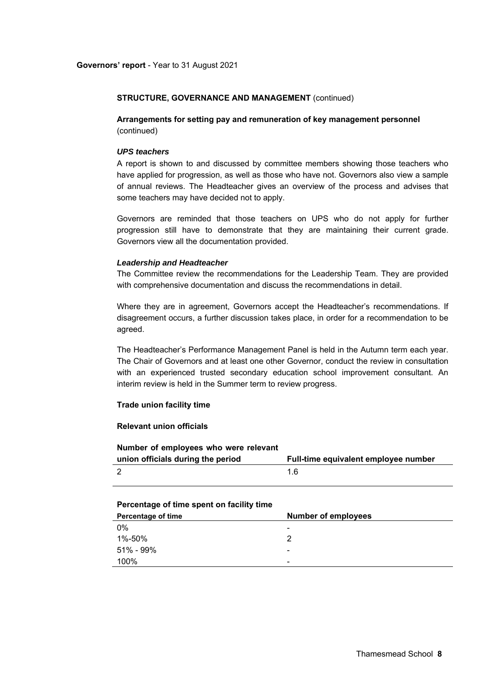**Arrangements for setting pay and remuneration of key management personnel**  (continued)

## *UPS teachers*

A report is shown to and discussed by committee members showing those teachers who have applied for progression, as well as those who have not. Governors also view a sample of annual reviews. The Headteacher gives an overview of the process and advises that some teachers may have decided not to apply.

Governors are reminded that those teachers on UPS who do not apply for further progression still have to demonstrate that they are maintaining their current grade. Governors view all the documentation provided.

#### *Leadership and Headteacher*

The Committee review the recommendations for the Leadership Team. They are provided with comprehensive documentation and discuss the recommendations in detail.

Where they are in agreement, Governors accept the Headteacher's recommendations. If disagreement occurs, a further discussion takes place, in order for a recommendation to be agreed.

The Headteacher's Performance Management Panel is held in the Autumn term each year. The Chair of Governors and at least one other Governor, conduct the review in consultation with an experienced trusted secondary education school improvement consultant. An interim review is held in the Summer term to review progress.

#### **Trade union facility time**

# **Relevant union officials**

| Number of employees who were relevant |                                      |
|---------------------------------------|--------------------------------------|
| union officials during the period     | Full-time equivalent employee number |
|                                       | 1 6                                  |

# **Percentage of time spent on facility time**

| Percentage of time | <b>Number of employees</b> |
|--------------------|----------------------------|
| 0%                 | $\overline{\phantom{a}}$   |
| 1%-50%             | Ω                          |
| 51% - 99%          | $\overline{\phantom{0}}$   |
| 100%               | $\blacksquare$             |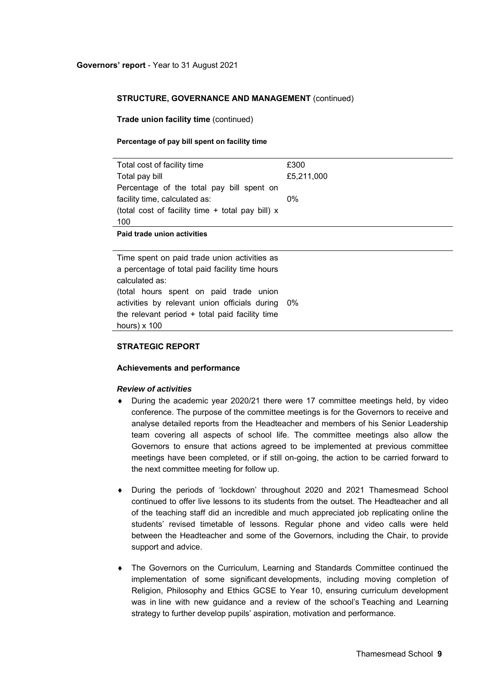**Trade union facility time** (continued)

#### **Percentage of pay bill spent on facility time**

| Total cost of facility time                        | £300       |
|----------------------------------------------------|------------|
| Total pay bill                                     | £5,211,000 |
| Percentage of the total pay bill spent on          |            |
| facility time, calculated as:                      | 0%         |
| (total cost of facility time $+$ total pay bill) x |            |
| 100                                                |            |
|                                                    |            |

**Paid trade union activities** 

Time spent on paid trade union activities as a percentage of total paid facility time hours calculated as: (total hours spent on paid trade union activities by relevant union officials during 0% the relevant period + total paid facility time hours) x 100

#### **STRATEGIC REPORT**

#### **Achievements and performance**

#### *Review of activities*

- During the academic year 2020/21 there were 17 committee meetings held, by video conference. The purpose of the committee meetings is for the Governors to receive and analyse detailed reports from the Headteacher and members of his Senior Leadership team covering all aspects of school life. The committee meetings also allow the Governors to ensure that actions agreed to be implemented at previous committee meetings have been completed, or if still on-going, the action to be carried forward to the next committee meeting for follow up.
- During the periods of 'lockdown' throughout 2020 and 2021 Thamesmead School continued to offer live lessons to its students from the outset. The Headteacher and all of the teaching staff did an incredible and much appreciated job replicating online the students' revised timetable of lessons. Regular phone and video calls were held between the Headteacher and some of the Governors, including the Chair, to provide support and advice.
- The Governors on the Curriculum, Learning and Standards Committee continued the implementation of some significant developments, including moving completion of Religion, Philosophy and Ethics GCSE to Year 10, ensuring curriculum development was in line with new guidance and a review of the school's Teaching and Learning strategy to further develop pupils' aspiration, motivation and performance.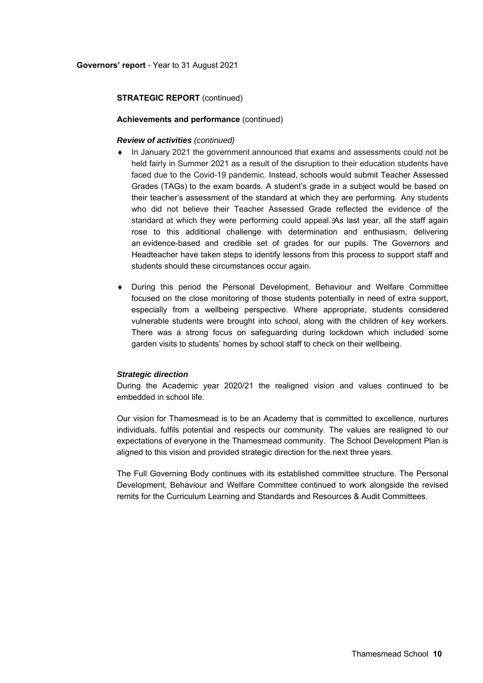### **Achievements and performance** (continued)

# *Review of activities (continued)*

- In January 2021 the government announced that exams and assessments could not be held fairly in Summer 2021 as a result of the disruption to their education students have faced due to the Covid-19 pandemic. Instead, schools would submit Teacher Assessed Grades (TAGs) to the exam boards. A student's grade in a subject would be based on their teacher's assessment of the standard at which they are performing. Any students who did not believe their Teacher Assessed Grade reflected the evidence of the standard at which they were performing could appeal. $A$ s last year, all the staff again rose to this additional challenge with determination and enthusiasm, delivering an evidence-based and credible set of grades for our pupils. The Governors and Headteacher have taken steps to identify lessons from this process to support staff and students should these circumstances occur again.
- During this period the Personal Development, Behaviour and Welfare Committee focused on the close monitoring of those students potentially in need of extra support, especially from a wellbeing perspective. Where appropriate, students considered vulnerable students were brought into school, along with the children of key workers. There was a strong focus on safeguarding during lockdown which included some garden visits to students' homes by school staff to check on their wellbeing.

#### *Strategic direction*

During the Academic year 2020/21 the realigned vision and values continued to be embedded in school life.

Our vision for Thamesmead is to be an Academy that is committed to excellence, nurtures individuals, fulfils potential and respects our community. The values are realigned to our expectations of everyone in the Thamesmead community. The School Development Plan is aligned to this vision and provided strategic direction for the next three years.

The Full Governing Body continues with its established committee structure. The Personal Development, Behaviour and Welfare Committee continued to work alongside the revised remits for the Curriculum Learning and Standards and Resources & Audit Committees.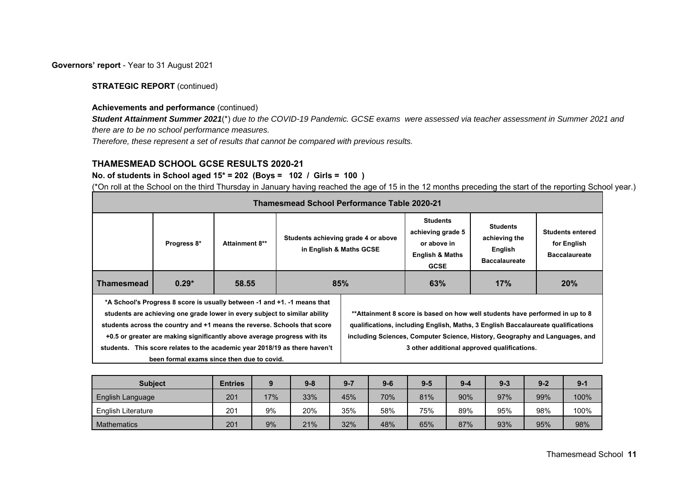### **Governors' report** - Year to 31 August 2021

# **STRATEGIC REPORT** (continued)

### **Achievements and performance** (continued)

*Student Attainment Summer 2021*(\*) *due to the COVID-19 Pandemic. GCSE exams were assessed via teacher assessment in Summer 2021 and there are to be no school performance measures.*

*Therefore, these represent a set of results that cannot be compared with previous results.* 

# **THAMESMEAD SCHOOL GCSE RESULTS 2020-21**

# **No. of students in School aged 15\* = 202 (Boys = 102 / Girls = 100 )**

(\*On roll at the School on the third Thursday in January having reached the age of 15 in the 12 months preceding the start of the reporting School year.)

|                   | <b>Thamesmead School Performance Table 2020-21</b> |                                                                                                                                                                                                                                                                                                                                                                                                                                            |                         |                                     |                                                                                                  |                                                                                                                                                                                                                                                                                                |                                                                |  |  |  |  |  |
|-------------------|----------------------------------------------------|--------------------------------------------------------------------------------------------------------------------------------------------------------------------------------------------------------------------------------------------------------------------------------------------------------------------------------------------------------------------------------------------------------------------------------------------|-------------------------|-------------------------------------|--------------------------------------------------------------------------------------------------|------------------------------------------------------------------------------------------------------------------------------------------------------------------------------------------------------------------------------------------------------------------------------------------------|----------------------------------------------------------------|--|--|--|--|--|
|                   | Progress 8*                                        | <b>Attainment 8**</b>                                                                                                                                                                                                                                                                                                                                                                                                                      | in English & Maths GCSE | Students achieving grade 4 or above | <b>Students</b><br>achieving grade 5<br>or above in<br><b>English &amp; Maths</b><br><b>GCSE</b> | <b>Students</b><br>achieving the<br>English<br><b>Baccalaureate</b>                                                                                                                                                                                                                            | <b>Students entered</b><br>for English<br><b>Baccalaureate</b> |  |  |  |  |  |
| <b>Thamesmead</b> | $0.29*$                                            | 58.55                                                                                                                                                                                                                                                                                                                                                                                                                                      | 85%                     |                                     | 17%<br>63%                                                                                       |                                                                                                                                                                                                                                                                                                | 20%                                                            |  |  |  |  |  |
|                   |                                                    | *A School's Progress 8 score is usually between -1 and +1. -1 means that<br>students are achieving one grade lower in every subject to similar ability<br>students across the country and +1 means the reverse. Schools that score<br>+0.5 or greater are making significantly above average progress with its<br>students. This score relates to the academic year 2018/19 as there haven't<br>been formal exams since then due to covid. |                         |                                     |                                                                                                  | **Attainment 8 score is based on how well students have performed in up to 8<br>qualifications, including English, Maths, 3 English Baccalaureate qualifications<br>including Sciences, Computer Science, History, Geography and Languages, and<br>3 other additional approved qualifications. |                                                                |  |  |  |  |  |

| <b>Subject</b>            | <b>Entries</b> |     | $9 - 8$ | $9 - 7$ | $9 - 6$ | $9 - 5$ | $9 - 4$ | $9 - 3$ | $9 - 2$ | $9 - 1$ |
|---------------------------|----------------|-----|---------|---------|---------|---------|---------|---------|---------|---------|
| English Language          | 201            | 17% | 33%     | 45%     | 70%     | 81%     | 90%     | 97%     | 99%     | 100%    |
| <b>English Literature</b> | 201            | 9%  | 20%     | 35%     | 58%     | 75%     | 89%     | 95%     | 98%     | 100%    |
| <b>Mathematics</b>        | 201            | 9%  | 21%     | 32%     | 48%     | 65%     | 87%     | 93%     | 95%     | 98%     |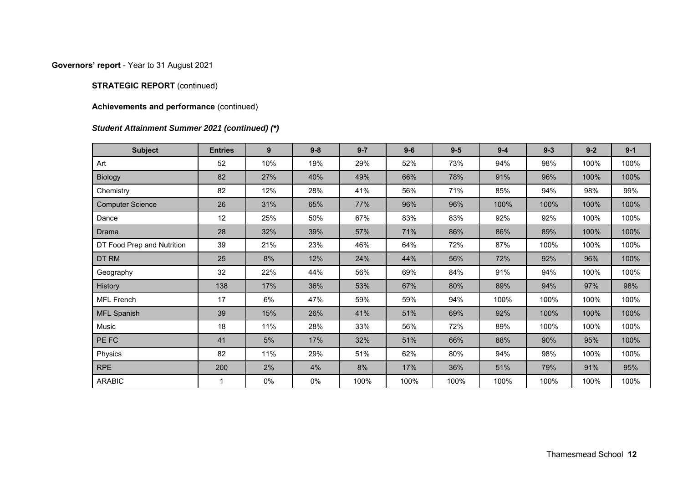# **Governors' report** - Year to 31 August 2021

# **STRATEGIC REPORT** (continued)

# **Achievements and performance** (continued)

# *Student Attainment Summer 2021 (continued) (\*)*

| <b>Subject</b>             | <b>Entries</b> | 9   | $9 - 8$ | $9 - 7$ | $9-6$ | $9-5$ | $9 - 4$ | $9 - 3$ | $9 - 2$ | $9 - 1$ |
|----------------------------|----------------|-----|---------|---------|-------|-------|---------|---------|---------|---------|
| Art                        | 52             | 10% | 19%     | 29%     | 52%   | 73%   | 94%     | 98%     | 100%    | 100%    |
| <b>Biology</b>             | 82             | 27% | 40%     | 49%     | 66%   | 78%   | 91%     | 96%     | 100%    | 100%    |
| Chemistry                  | 82             | 12% | 28%     | 41%     | 56%   | 71%   | 85%     | 94%     | 98%     | 99%     |
| <b>Computer Science</b>    | 26             | 31% | 65%     | 77%     | 96%   | 96%   | 100%    | 100%    | 100%    | 100%    |
| Dance                      | 12             | 25% | 50%     | 67%     | 83%   | 83%   | 92%     | 92%     | 100%    | 100%    |
| Drama                      | 28             | 32% | 39%     | 57%     | 71%   | 86%   | 86%     | 89%     | 100%    | 100%    |
| DT Food Prep and Nutrition | 39             | 21% | 23%     | 46%     | 64%   | 72%   | 87%     | 100%    | 100%    | 100%    |
| DT RM                      | 25             | 8%  | 12%     | 24%     | 44%   | 56%   | 72%     | 92%     | 96%     | 100%    |
| Geography                  | 32             | 22% | 44%     | 56%     | 69%   | 84%   | 91%     | 94%     | 100%    | 100%    |
| History                    | 138            | 17% | 36%     | 53%     | 67%   | 80%   | 89%     | 94%     | 97%     | 98%     |
| <b>MFL French</b>          | 17             | 6%  | 47%     | 59%     | 59%   | 94%   | 100%    | 100%    | 100%    | 100%    |
| <b>MFL Spanish</b>         | 39             | 15% | 26%     | 41%     | 51%   | 69%   | 92%     | 100%    | 100%    | 100%    |
| Music                      | 18             | 11% | 28%     | 33%     | 56%   | 72%   | 89%     | 100%    | 100%    | 100%    |
| PE FC                      | 41             | 5%  | 17%     | 32%     | 51%   | 66%   | 88%     | 90%     | 95%     | 100%    |
| Physics                    | 82             | 11% | 29%     | 51%     | 62%   | 80%   | 94%     | 98%     | 100%    | 100%    |
| <b>RPE</b>                 | 200            | 2%  | 4%      | 8%      | 17%   | 36%   | 51%     | 79%     | 91%     | 95%     |
| <b>ARABIC</b>              | 1              | 0%  | 0%      | 100%    | 100%  | 100%  | 100%    | 100%    | 100%    | 100%    |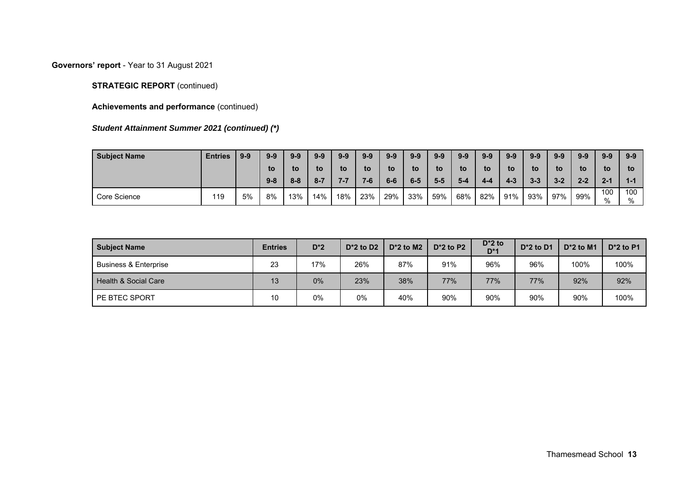**Governors' report** - Year to 31 August 2021

# **STRATEGIC REPORT** (continued)

**Achievements and performance** (continued)

# *Student Attainment Summer 2021 (continued) (\*)*

| <b>Subject Name</b> | <b>Entries</b> | $9-9$ | $9 - 9$ | $9 - 9$ | $9-9$   | $9 - 9$ | $9 - 9$ | $9 - 9$ | $9 - 9$ | $9 - 9$ | $9 - 9$ | $9 - 9$ | $9 - 9$ | $9 - 9$ | $9-9$   | $9-9$   | $9 - 9$    | $9 - 9$    |
|---------------------|----------------|-------|---------|---------|---------|---------|---------|---------|---------|---------|---------|---------|---------|---------|---------|---------|------------|------------|
|                     |                |       | to      | to      | to      | to      | to      | to      | to      | to      | to      | to      | to      | to      | to      | to      | to         | to         |
|                     |                |       | $9 - 8$ | $8 - 8$ | $8 - 7$ |         |         | $6-6$   | $6-5$   | 5-5     | $5-4$   | 4-4     | $4 - 3$ | $3 - 3$ | $3 - 2$ | $2 - 2$ | $2 - 1$    | $1 - 1$    |
| Core Science        | 119            | 5%    | 8%      | 13%     | 14%     | 18%     | 23%     | 29%     | 33%     | 59%     | 68%     | 82%     | 91%     | 93%     | 97%     | 99%     | 100<br>0/2 | 100<br>0/2 |

| <b>Subject Name</b>              | <b>Entries</b> | $D^*2$ | $D^*2$ to D2 | $D^*2$ to M2 | $D^*2$ to P2 | $D^*2$ to<br>$D*1$ | $D^*2$ to D1 | $D^*2$ to M1 | $D^*2$ to P1 |
|----------------------------------|----------------|--------|--------------|--------------|--------------|--------------------|--------------|--------------|--------------|
| <b>Business &amp; Enterprise</b> | 23             | 17%    | 26%          | 87%          | 91%          | 96%                | 96%          | 100%         | 100%         |
| Health & Social Care             | 13             | 0%     | 23%          | 38%          | 77%          | 77%                | 77%          | 92%          | 92%          |
| PE BTEC SPORT                    | 10             | $0\%$  | 0%           | 40%          | 90%          | 90%                | 90%          | 90%          | 100%         |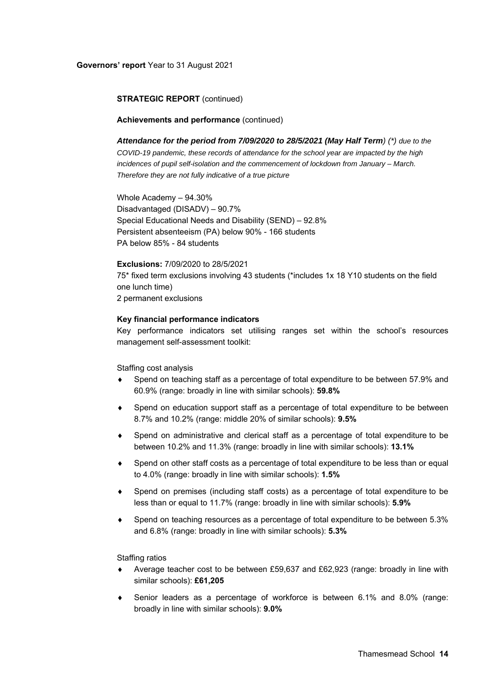#### **Achievements and performance** (continued)

*Attendance for the period from 7/09/2020 to 28/5/2021 (May Half Term) (\*) due to the COVID-19 pandemic, these records of attendance for the school year are impacted by the high incidences of pupil self-isolation and the commencement of lockdown from January – March. Therefore they are not fully indicative of a true picture* 

Whole Academy – 94.30% Disadvantaged (DISADV) – 90.7% Special Educational Needs and Disability (SEND) – 92.8% Persistent absenteeism (PA) below 90% - 166 students PA below 85% - 84 students

#### **Exclusions:** 7/09/2020 to 28/5/2021

75\* fixed term exclusions involving 43 students (\*includes 1x 18 Y10 students on the field one lunch time) 2 permanent exclusions

#### **Key financial performance indicators**

Key performance indicators set utilising ranges set within the school's resources management self-assessment toolkit:

Staffing cost analysis

- Spend on teaching staff as a percentage of total expenditure to be between 57.9% and 60.9% (range: broadly in line with similar schools): **59.8%**
- Spend on education support staff as a percentage of total expenditure to be between 8.7% and 10.2% (range: middle 20% of similar schools): **9.5%**
- Spend on administrative and clerical staff as a percentage of total expenditure to be between 10.2% and 11.3% (range: broadly in line with similar schools): **13.1%**
- Spend on other staff costs as a percentage of total expenditure to be less than or equal to 4.0% (range: broadly in line with similar schools): **1.5%**
- Spend on premises (including staff costs) as a percentage of total expenditure to be less than or equal to 11.7% (range: broadly in line with similar schools): **5.9%**
- Spend on teaching resources as a percentage of total expenditure to be between 5.3% and 6.8% (range: broadly in line with similar schools): **5.3%**

Staffing ratios

- Average teacher cost to be between £59,637 and £62,923 (range: broadly in line with similar schools): **£61,205**
- Senior leaders as a percentage of workforce is between 6.1% and 8.0% (range: broadly in line with similar schools): **9.0%**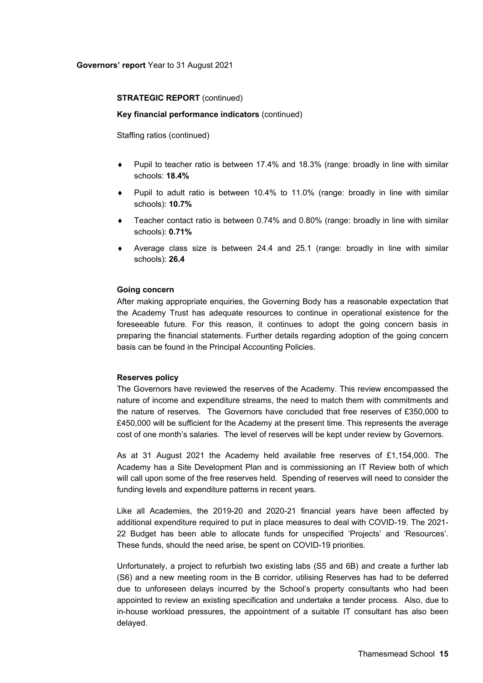#### **Key financial performance indicators** (continued)

Staffing ratios (continued)

- Pupil to teacher ratio is between 17.4% and 18.3% (range: broadly in line with similar schools: **18.4%**
- Pupil to adult ratio is between 10.4% to 11.0% (range: broadly in line with similar schools): **10.7%**
- Teacher contact ratio is between 0.74% and 0.80% (range: broadly in line with similar schools): **0.71%**
- Average class size is between 24.4 and 25.1 (range: broadly in line with similar schools): **26.4**

#### **Going concern**

After making appropriate enquiries, the Governing Body has a reasonable expectation that the Academy Trust has adequate resources to continue in operational existence for the foreseeable future. For this reason, it continues to adopt the going concern basis in preparing the financial statements. Further details regarding adoption of the going concern basis can be found in the Principal Accounting Policies.

#### **Reserves policy**

The Governors have reviewed the reserves of the Academy. This review encompassed the nature of income and expenditure streams, the need to match them with commitments and the nature of reserves. The Governors have concluded that free reserves of £350,000 to £450,000 will be sufficient for the Academy at the present time. This represents the average cost of one month's salaries. The level of reserves will be kept under review by Governors.

As at 31 August 2021 the Academy held available free reserves of £1,154,000. The Academy has a Site Development Plan and is commissioning an IT Review both of which will call upon some of the free reserves held. Spending of reserves will need to consider the funding levels and expenditure patterns in recent years.

Like all Academies, the 2019-20 and 2020-21 financial years have been affected by additional expenditure required to put in place measures to deal with COVID-19. The 2021- 22 Budget has been able to allocate funds for unspecified 'Projects' and 'Resources'. These funds, should the need arise, be spent on COVID-19 priorities.

Unfortunately, a project to refurbish two existing labs (S5 and 6B) and create a further lab (S6) and a new meeting room in the B corridor, utilising Reserves has had to be deferred due to unforeseen delays incurred by the School's property consultants who had been appointed to review an existing specification and undertake a tender process. Also, due to in-house workload pressures, the appointment of a suitable IT consultant has also been delayed.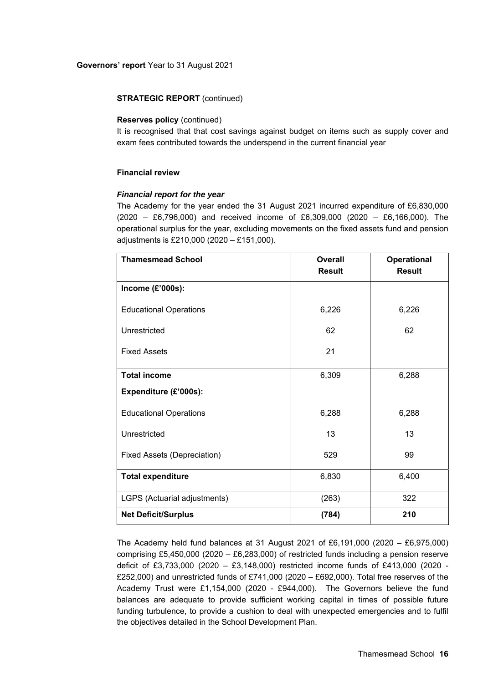#### **Reserves policy** (continued)

It is recognised that that cost savings against budget on items such as supply cover and exam fees contributed towards the underspend in the current financial year

#### **Financial review**

#### *Financial report for the year*

The Academy for the year ended the 31 August 2021 incurred expenditure of £6,830,000 (2020 – £6,796,000) and received income of £6,309,000 (2020 – £6,166,000). The operational surplus for the year, excluding movements on the fixed assets fund and pension adjustments is £210,000 (2020 – £151,000).

| <b>Thamesmead School</b>      | <b>Overall</b><br><b>Result</b> | <b>Operational</b><br><b>Result</b> |
|-------------------------------|---------------------------------|-------------------------------------|
| Income (£'000s):              |                                 |                                     |
| <b>Educational Operations</b> | 6,226                           | 6,226                               |
| Unrestricted                  | 62                              | 62                                  |
| <b>Fixed Assets</b>           | 21                              |                                     |
| <b>Total income</b>           | 6,309                           | 6,288                               |
| Expenditure (£'000s):         |                                 |                                     |
| <b>Educational Operations</b> | 6,288                           | 6,288                               |
| Unrestricted                  | 13                              | 13                                  |
| Fixed Assets (Depreciation)   | 529                             | 99                                  |
| <b>Total expenditure</b>      | 6,830                           | 6,400                               |
| LGPS (Actuarial adjustments)  | (263)                           | 322                                 |
| <b>Net Deficit/Surplus</b>    | (784)                           | 210                                 |

The Academy held fund balances at 31 August 2021 of £6,191,000 (2020 – £6,975,000) comprising £5,450,000 (2020 – £6,283,000) of restricted funds including a pension reserve deficit of £3,733,000 (2020 – £3,148,000) restricted income funds of £413,000 (2020 - £252,000) and unrestricted funds of £741,000 (2020 – £692,000). Total free reserves of the Academy Trust were £1,154,000 (2020 - £944,000). The Governors believe the fund balances are adequate to provide sufficient working capital in times of possible future funding turbulence, to provide a cushion to deal with unexpected emergencies and to fulfil the objectives detailed in the School Development Plan.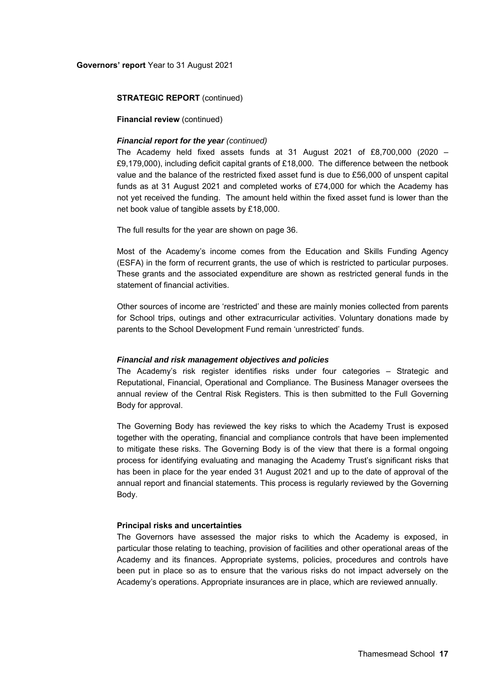### **Governors' report** Year to 31 August 2021

#### **STRATEGIC REPORT** (continued)

### **Financial review** (continued)

# *Financial report for the year (continued)*

The Academy held fixed assets funds at 31 August 2021 of £8,700,000 (2020 – £9,179,000), including deficit capital grants of £18,000. The difference between the netbook value and the balance of the restricted fixed asset fund is due to £56,000 of unspent capital funds as at 31 August 2021 and completed works of £74,000 for which the Academy has not yet received the funding. The amount held within the fixed asset fund is lower than the net book value of tangible assets by £18,000.

The full results for the year are shown on page 36.

Most of the Academy's income comes from the Education and Skills Funding Agency (ESFA) in the form of recurrent grants, the use of which is restricted to particular purposes. These grants and the associated expenditure are shown as restricted general funds in the statement of financial activities.

Other sources of income are 'restricted' and these are mainly monies collected from parents for School trips, outings and other extracurricular activities. Voluntary donations made by parents to the School Development Fund remain 'unrestricted' funds.

#### *Financial and risk management objectives and policies*

The Academy's risk register identifies risks under four categories – Strategic and Reputational, Financial, Operational and Compliance. The Business Manager oversees the annual review of the Central Risk Registers. This is then submitted to the Full Governing Body for approval.

The Governing Body has reviewed the key risks to which the Academy Trust is exposed together with the operating, financial and compliance controls that have been implemented to mitigate these risks. The Governing Body is of the view that there is a formal ongoing process for identifying evaluating and managing the Academy Trust's significant risks that has been in place for the year ended 31 August 2021 and up to the date of approval of the annual report and financial statements. This process is regularly reviewed by the Governing Body.

#### **Principal risks and uncertainties**

The Governors have assessed the major risks to which the Academy is exposed, in particular those relating to teaching, provision of facilities and other operational areas of the Academy and its finances. Appropriate systems, policies, procedures and controls have been put in place so as to ensure that the various risks do not impact adversely on the Academy's operations. Appropriate insurances are in place, which are reviewed annually.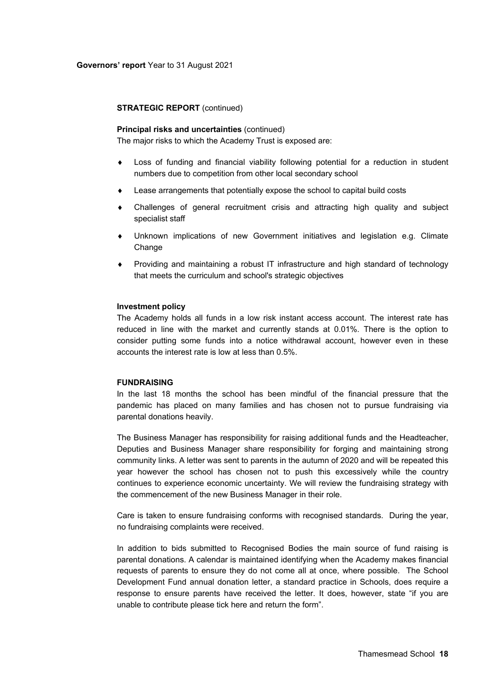#### **Principal risks and uncertainties** (continued)

The major risks to which the Academy Trust is exposed are:

- Loss of funding and financial viability following potential for a reduction in student numbers due to competition from other local secondary school
- Lease arrangements that potentially expose the school to capital build costs
- Challenges of general recruitment crisis and attracting high quality and subject specialist staff
- Unknown implications of new Government initiatives and legislation e.g. Climate **Change**
- Providing and maintaining a robust IT infrastructure and high standard of technology that meets the curriculum and school's strategic objectives

#### **Investment policy**

The Academy holds all funds in a low risk instant access account. The interest rate has reduced in line with the market and currently stands at 0.01%. There is the option to consider putting some funds into a notice withdrawal account, however even in these accounts the interest rate is low at less than 0.5%.

#### **FUNDRAISING**

In the last 18 months the school has been mindful of the financial pressure that the pandemic has placed on many families and has chosen not to pursue fundraising via parental donations heavily.

The Business Manager has responsibility for raising additional funds and the Headteacher, Deputies and Business Manager share responsibility for forging and maintaining strong community links. A letter was sent to parents in the autumn of 2020 and will be repeated this year however the school has chosen not to push this excessively while the country continues to experience economic uncertainty. We will review the fundraising strategy with the commencement of the new Business Manager in their role.

Care is taken to ensure fundraising conforms with recognised standards. During the year, no fundraising complaints were received.

In addition to bids submitted to Recognised Bodies the main source of fund raising is parental donations. A calendar is maintained identifying when the Academy makes financial requests of parents to ensure they do not come all at once, where possible. The School Development Fund annual donation letter, a standard practice in Schools, does require a response to ensure parents have received the letter. It does, however, state "if you are unable to contribute please tick here and return the form".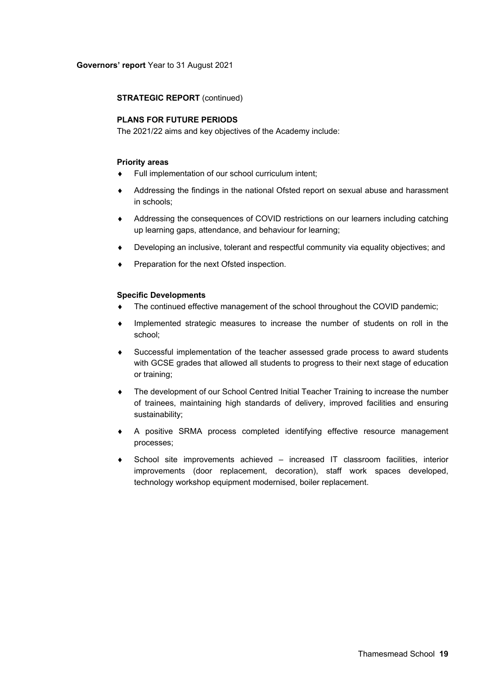# **PLANS FOR FUTURE PERIODS**

The 2021/22 aims and key objectives of the Academy include:

#### **Priority areas**

- Full implementation of our school curriculum intent;
- Addressing the findings in the national Ofsted report on sexual abuse and harassment in schools;
- Addressing the consequences of COVID restrictions on our learners including catching up learning gaps, attendance, and behaviour for learning;
- Developing an inclusive, tolerant and respectful community via equality objectives; and
- Preparation for the next Ofsted inspection.

#### **Specific Developments**

- The continued effective management of the school throughout the COVID pandemic;
- Implemented strategic measures to increase the number of students on roll in the school;
- Successful implementation of the teacher assessed grade process to award students with GCSE grades that allowed all students to progress to their next stage of education or training;
- The development of our School Centred Initial Teacher Training to increase the number of trainees, maintaining high standards of delivery, improved facilities and ensuring sustainability;
- A positive SRMA process completed identifying effective resource management processes;
- School site improvements achieved increased IT classroom facilities, interior improvements (door replacement, decoration), staff work spaces developed, technology workshop equipment modernised, boiler replacement.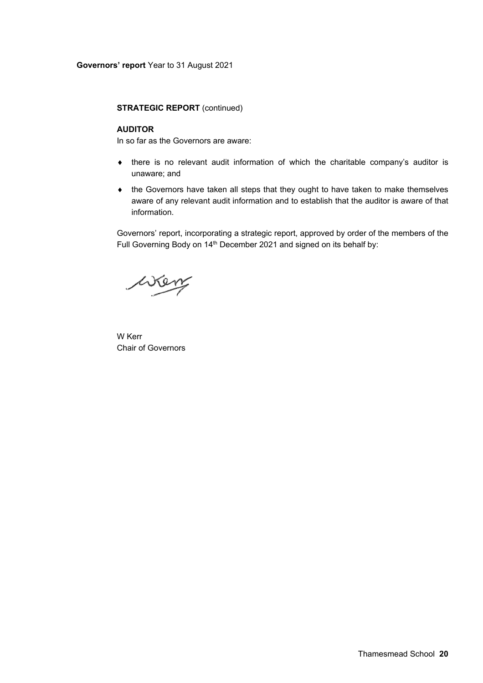#### **AUDITOR**

In so far as the Governors are aware:

- there is no relevant audit information of which the charitable company's auditor is unaware; and
- the Governors have taken all steps that they ought to have taken to make themselves aware of any relevant audit information and to establish that the auditor is aware of that information.

Governors' report, incorporating a strategic report, approved by order of the members of the Full Governing Body on 14<sup>th</sup> December 2021 and signed on its behalf by:

wen

W Kerr Chair of Governors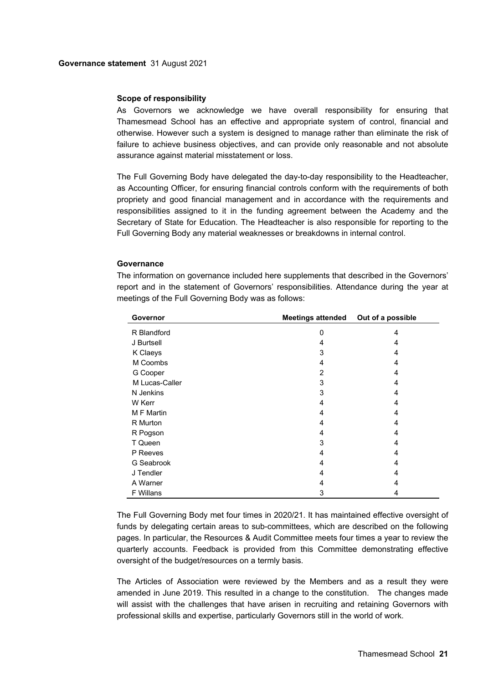#### **Scope of responsibility**

As Governors we acknowledge we have overall responsibility for ensuring that Thamesmead School has an effective and appropriate system of control, financial and otherwise. However such a system is designed to manage rather than eliminate the risk of failure to achieve business objectives, and can provide only reasonable and not absolute assurance against material misstatement or loss.

The Full Governing Body have delegated the day-to-day responsibility to the Headteacher, as Accounting Officer, for ensuring financial controls conform with the requirements of both propriety and good financial management and in accordance with the requirements and responsibilities assigned to it in the funding agreement between the Academy and the Secretary of State for Education. The Headteacher is also responsible for reporting to the Full Governing Body any material weaknesses or breakdowns in internal control.

#### **Governance**

report and in the statement of Governors' responsibilities. Attendance during the year at meetings of the Full Governing Body was as follows: **Governor Meetings attended Out of a possible** 

The information on governance included here supplements that described in the Governors'

| ouverlium      | meeungs allended | <b>OUL OF A POSSIDIE</b> |
|----------------|------------------|--------------------------|
| R Blandford    | 0                | 4                        |
| J Burtsell     | 4                | 4                        |
| K Claeys       | 3                | 4                        |
| M Coombs       | 4                | 4                        |
| G Cooper       | $\overline{2}$   | 4                        |
| M Lucas-Caller | 3                | 4                        |
| N Jenkins      | 3                | 4                        |
| W Kerr         | 4                | 4                        |
| M F Martin     | 4                | 4                        |
| R Murton       | 4                | 4                        |
| R Pogson       | 4                | 4                        |
| T Queen        | 3                | 4                        |
| P Reeves       | 4                | 4                        |
| G Seabrook     | 4                | 4                        |
| J Tendler      | 4                | 4                        |
| A Warner       | 4                | 4                        |
| F Willans      | 3                | 4                        |

The Full Governing Body met four times in 2020/21. It has maintained effective oversight of funds by delegating certain areas to sub-committees, which are described on the following pages. In particular, the Resources & Audit Committee meets four times a year to review the quarterly accounts. Feedback is provided from this Committee demonstrating effective oversight of the budget/resources on a termly basis.

The Articles of Association were reviewed by the Members and as a result they were amended in June 2019. This resulted in a change to the constitution. The changes made will assist with the challenges that have arisen in recruiting and retaining Governors with professional skills and expertise, particularly Governors still in the world of work.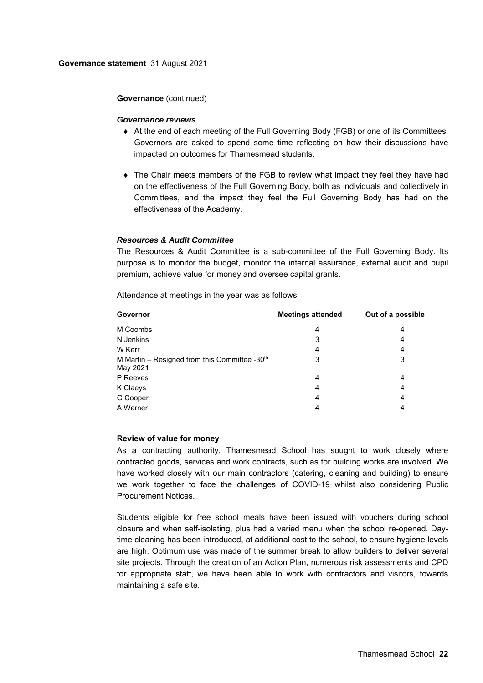#### **Governance** (continued)

#### *Governance reviews*

- At the end of each meeting of the Full Governing Body (FGB) or one of its Committees, Governors are asked to spend some time reflecting on how their discussions have impacted on outcomes for Thamesmead students.
- The Chair meets members of the FGB to review what impact they feel they have had on the effectiveness of the Full Governing Body, both as individuals and collectively in Committees, and the impact they feel the Full Governing Body has had on the effectiveness of the Academy.

# *Resources & Audit Committee*

The Resources & Audit Committee is a sub-committee of the Full Governing Body. Its purpose is to monitor the budget, monitor the internal assurance, external audit and pupil premium, achieve value for money and oversee capital grants.

| Governor                                                     | <b>Meetings attended</b> | Out of a possible |
|--------------------------------------------------------------|--------------------------|-------------------|
| M Coombs                                                     | 4                        | 4                 |
| N Jenkins                                                    | 3                        | 4                 |
| W Kerr                                                       | 4                        | 4                 |
| M Martin - Resigned from this Committee - $30th$<br>May 2021 | 3                        | 3                 |
| P Reeves                                                     | 4                        | 4                 |
| K Claeys                                                     | 4                        | 4                 |
| G Cooper                                                     | 4                        | 4                 |
| A Warner                                                     | 4                        |                   |

Attendance at meetings in the year was as follows:

# **Review of value for money**

As a contracting authority, Thamesmead School has sought to work closely where contracted goods, services and work contracts, such as for building works are involved. We have worked closely with our main contractors (catering, cleaning and building) to ensure we work together to face the challenges of COVID-19 whilst also considering Public Procurement Notices.

Students eligible for free school meals have been issued with vouchers during school closure and when self-isolating, plus had a varied menu when the school re-opened. Daytime cleaning has been introduced, at additional cost to the school, to ensure hygiene levels are high. Optimum use was made of the summer break to allow builders to deliver several site projects. Through the creation of an Action Plan, numerous risk assessments and CPD for appropriate staff, we have been able to work with contractors and visitors, towards maintaining a safe site.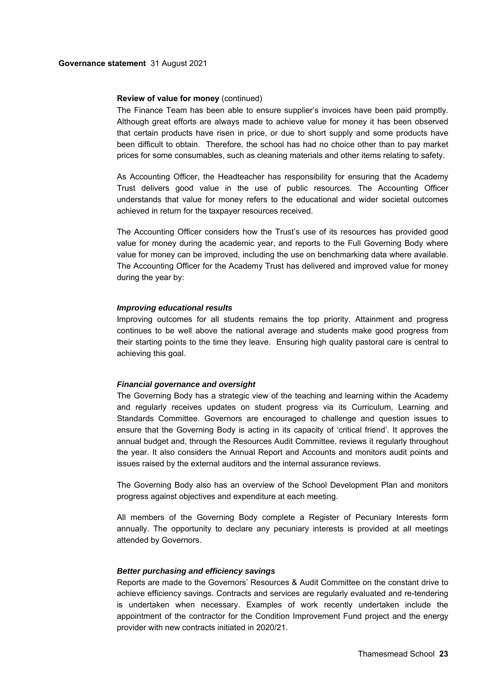#### **Review of value for money** (continued)

The Finance Team has been able to ensure supplier's invoices have been paid promptly. Although great efforts are always made to achieve value for money it has been observed that certain products have risen in price, or due to short supply and some products have been difficult to obtain. Therefore, the school has had no choice other than to pay market prices for some consumables, such as cleaning materials and other items relating to safety.

As Accounting Officer, the Headteacher has responsibility for ensuring that the Academy Trust delivers good value in the use of public resources. The Accounting Officer understands that value for money refers to the educational and wider societal outcomes achieved in return for the taxpayer resources received.

The Accounting Officer considers how the Trust's use of its resources has provided good value for money during the academic year, and reports to the Full Governing Body where value for money can be improved, including the use on benchmarking data where available. The Accounting Officer for the Academy Trust has delivered and improved value for money during the year by:

#### *Improving educational results*

Improving outcomes for all students remains the top priority. Attainment and progress continues to be well above the national average and students make good progress from their starting points to the time they leave. Ensuring high quality pastoral care is central to achieving this goal.

#### *Financial governance and oversight*

The Governing Body has a strategic view of the teaching and learning within the Academy and regularly receives updates on student progress via its Curriculum, Learning and Standards Committee. Governors are encouraged to challenge and question issues to ensure that the Governing Body is acting in its capacity of 'critical friend'. It approves the annual budget and, through the Resources Audit Committee, reviews it regularly throughout the year. It also considers the Annual Report and Accounts and monitors audit points and issues raised by the external auditors and the internal assurance reviews.

The Governing Body also has an overview of the School Development Plan and monitors progress against objectives and expenditure at each meeting.

All members of the Governing Body complete a Register of Pecuniary Interests form annually. The opportunity to declare any pecuniary interests is provided at all meetings attended by Governors.

#### *Better purchasing and efficiency savings*

Reports are made to the Governors' Resources & Audit Committee on the constant drive to achieve efficiency savings. Contracts and services are regularly evaluated and re-tendering is undertaken when necessary. Examples of work recently undertaken include the appointment of the contractor for the Condition Improvement Fund project and the energy provider with new contracts initiated in 2020/21.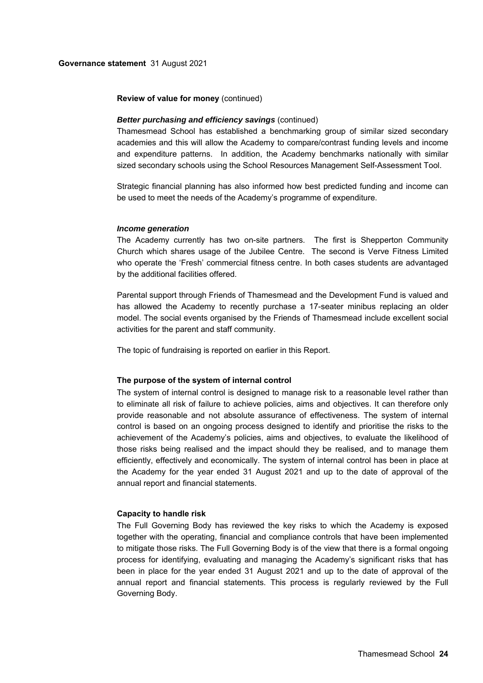#### **Review of value for money** (continued)

#### *Better purchasing and efficiency savings* (continued)

Thamesmead School has established a benchmarking group of similar sized secondary academies and this will allow the Academy to compare/contrast funding levels and income and expenditure patterns. In addition, the Academy benchmarks nationally with similar sized secondary schools using the School Resources Management Self-Assessment Tool.

Strategic financial planning has also informed how best predicted funding and income can be used to meet the needs of the Academy's programme of expenditure.

#### *Income generation*

The Academy currently has two on-site partners. The first is Shepperton Community Church which shares usage of the Jubilee Centre. The second is Verve Fitness Limited who operate the 'Fresh' commercial fitness centre. In both cases students are advantaged by the additional facilities offered.

Parental support through Friends of Thamesmead and the Development Fund is valued and has allowed the Academy to recently purchase a 17-seater minibus replacing an older model. The social events organised by the Friends of Thamesmead include excellent social activities for the parent and staff community.

The topic of fundraising is reported on earlier in this Report.

#### **The purpose of the system of internal control**

The system of internal control is designed to manage risk to a reasonable level rather than to eliminate all risk of failure to achieve policies, aims and objectives. It can therefore only provide reasonable and not absolute assurance of effectiveness. The system of internal control is based on an ongoing process designed to identify and prioritise the risks to the achievement of the Academy's policies, aims and objectives, to evaluate the likelihood of those risks being realised and the impact should they be realised, and to manage them efficiently, effectively and economically. The system of internal control has been in place at the Academy for the year ended 31 August 2021 and up to the date of approval of the annual report and financial statements.

#### **Capacity to handle risk**

The Full Governing Body has reviewed the key risks to which the Academy is exposed together with the operating, financial and compliance controls that have been implemented to mitigate those risks. The Full Governing Body is of the view that there is a formal ongoing process for identifying, evaluating and managing the Academy's significant risks that has been in place for the year ended 31 August 2021 and up to the date of approval of the annual report and financial statements. This process is regularly reviewed by the Full Governing Body.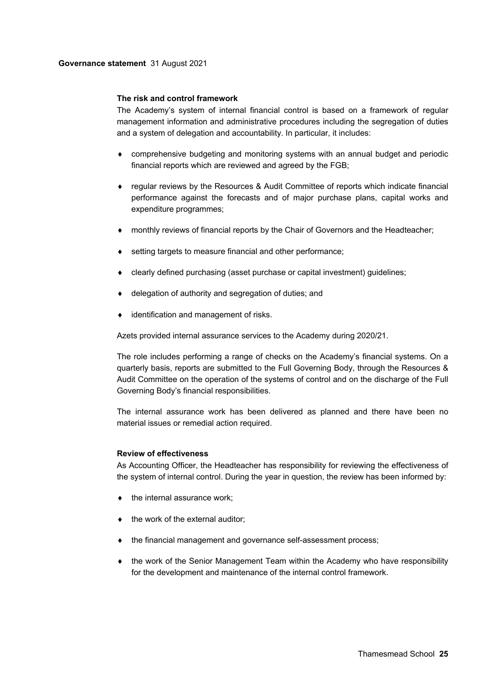#### **The risk and control framework**

The Academy's system of internal financial control is based on a framework of regular management information and administrative procedures including the segregation of duties and a system of delegation and accountability. In particular, it includes:

- comprehensive budgeting and monitoring systems with an annual budget and periodic financial reports which are reviewed and agreed by the FGB;
- regular reviews by the Resources & Audit Committee of reports which indicate financial performance against the forecasts and of major purchase plans, capital works and expenditure programmes;
- monthly reviews of financial reports by the Chair of Governors and the Headteacher;
- setting targets to measure financial and other performance;
- clearly defined purchasing (asset purchase or capital investment) guidelines;
- delegation of authority and segregation of duties; and
- identification and management of risks.

Azets provided internal assurance services to the Academy during 2020/21.

The role includes performing a range of checks on the Academy's financial systems. On a quarterly basis, reports are submitted to the Full Governing Body, through the Resources & Audit Committee on the operation of the systems of control and on the discharge of the Full Governing Body's financial responsibilities.

The internal assurance work has been delivered as planned and there have been no material issues or remedial action required.

# **Review of effectiveness**

As Accounting Officer, the Headteacher has responsibility for reviewing the effectiveness of the system of internal control. During the year in question, the review has been informed by:

- the internal assurance work;
- $\bullet$  the work of the external auditor;
- the financial management and governance self-assessment process;
- the work of the Senior Management Team within the Academy who have responsibility for the development and maintenance of the internal control framework.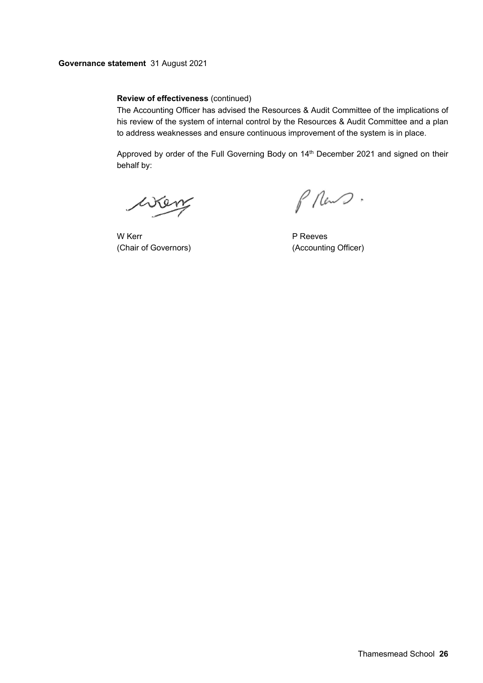# **Review of effectiveness** (continued)

The Accounting Officer has advised the Resources & Audit Committee of the implications of his review of the system of internal control by the Resources & Audit Committee and a plan to address weaknesses and ensure continuous improvement of the system is in place.

Approved by order of the Full Governing Body on 14<sup>th</sup> December 2021 and signed on their behalf by:

wen

W Kerr **P Reeves** (Chair of Governors) (Accounting Officer)

 $\beta$  Rev  $\mathcal{D}$ .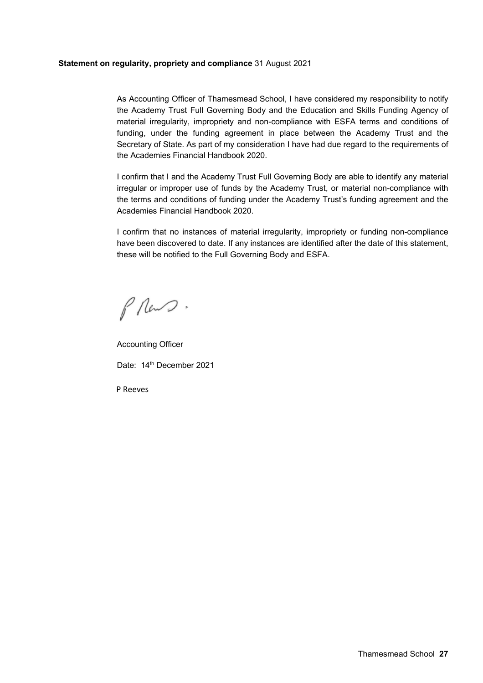### **Statement on regularity, propriety and compliance** 31 August 2021

As Accounting Officer of Thamesmead School, I have considered my responsibility to notify the Academy Trust Full Governing Body and the Education and Skills Funding Agency of material irregularity, impropriety and non-compliance with ESFA terms and conditions of funding, under the funding agreement in place between the Academy Trust and the Secretary of State. As part of my consideration I have had due regard to the requirements of the Academies Financial Handbook 2020.

I confirm that I and the Academy Trust Full Governing Body are able to identify any material irregular or improper use of funds by the Academy Trust, or material non-compliance with the terms and conditions of funding under the Academy Trust's funding agreement and the Academies Financial Handbook 2020.

I confirm that no instances of material irregularity, impropriety or funding non-compliance have been discovered to date. If any instances are identified after the date of this statement, these will be notified to the Full Governing Body and ESFA.

 $\int$  Rev  $2$ .

Accounting Officer Date: 14<sup>th</sup> December 2021

P Reeves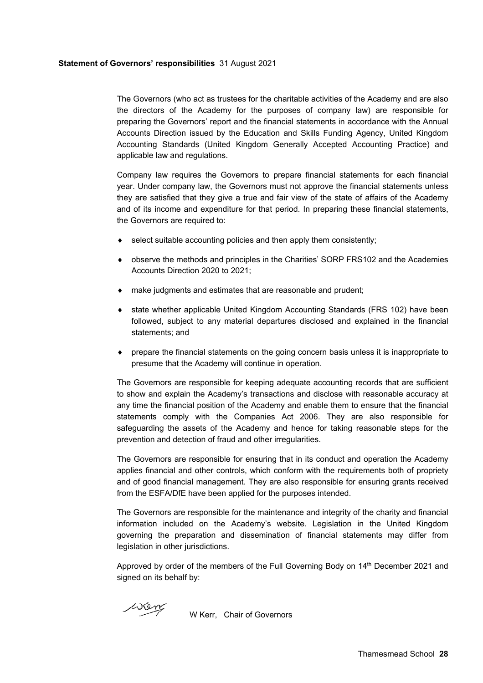### **Statement of Governors' responsibilities** 31 August 2021

The Governors (who act as trustees for the charitable activities of the Academy and are also the directors of the Academy for the purposes of company law) are responsible for preparing the Governors' report and the financial statements in accordance with the Annual Accounts Direction issued by the Education and Skills Funding Agency, United Kingdom Accounting Standards (United Kingdom Generally Accepted Accounting Practice) and applicable law and regulations.

Company law requires the Governors to prepare financial statements for each financial year. Under company law, the Governors must not approve the financial statements unless they are satisfied that they give a true and fair view of the state of affairs of the Academy and of its income and expenditure for that period. In preparing these financial statements, the Governors are required to:

- select suitable accounting policies and then apply them consistently;
- observe the methods and principles in the Charities' SORP FRS102 and the Academies Accounts Direction 2020 to 2021;
- make judgments and estimates that are reasonable and prudent;
- state whether applicable United Kingdom Accounting Standards (FRS 102) have been followed, subject to any material departures disclosed and explained in the financial statements; and
- prepare the financial statements on the going concern basis unless it is inappropriate to presume that the Academy will continue in operation.

The Governors are responsible for keeping adequate accounting records that are sufficient to show and explain the Academy's transactions and disclose with reasonable accuracy at any time the financial position of the Academy and enable them to ensure that the financial statements comply with the Companies Act 2006. They are also responsible for safeguarding the assets of the Academy and hence for taking reasonable steps for the prevention and detection of fraud and other irregularities.

The Governors are responsible for ensuring that in its conduct and operation the Academy applies financial and other controls, which conform with the requirements both of propriety and of good financial management. They are also responsible for ensuring grants received from the ESFA/DfE have been applied for the purposes intended.

The Governors are responsible for the maintenance and integrity of the charity and financial information included on the Academy's website. Legislation in the United Kingdom governing the preparation and dissemination of financial statements may differ from legislation in other jurisdictions.

Approved by order of the members of the Full Governing Body on 14th December 2021 and signed on its behalf by:

wen

W Kerr, Chair of Governors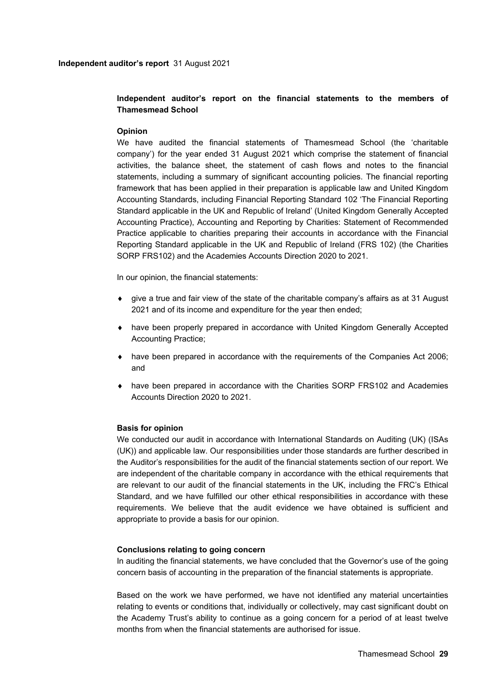# **Independent auditor's report on the financial statements to the members of Thamesmead School**

# **Opinion**

We have audited the financial statements of Thamesmead School (the 'charitable company') for the year ended 31 August 2021 which comprise the statement of financial activities, the balance sheet, the statement of cash flows and notes to the financial statements, including a summary of significant accounting policies. The financial reporting framework that has been applied in their preparation is applicable law and United Kingdom Accounting Standards, including Financial Reporting Standard 102 'The Financial Reporting Standard applicable in the UK and Republic of Ireland' (United Kingdom Generally Accepted Accounting Practice), Accounting and Reporting by Charities: Statement of Recommended Practice applicable to charities preparing their accounts in accordance with the Financial Reporting Standard applicable in the UK and Republic of Ireland (FRS 102) (the Charities SORP FRS102) and the Academies Accounts Direction 2020 to 2021.

In our opinion, the financial statements:

- $\bullet$  give a true and fair view of the state of the charitable company's affairs as at 31 August 2021 and of its income and expenditure for the year then ended;
- have been properly prepared in accordance with United Kingdom Generally Accepted Accounting Practice;
- have been prepared in accordance with the requirements of the Companies Act 2006; and
- have been prepared in accordance with the Charities SORP FRS102 and Academies Accounts Direction 2020 to 2021.

# **Basis for opinion**

We conducted our audit in accordance with International Standards on Auditing (UK) (ISAs (UK)) and applicable law. Our responsibilities under those standards are further described in the Auditor's responsibilities for the audit of the financial statements section of our report. We are independent of the charitable company in accordance with the ethical requirements that are relevant to our audit of the financial statements in the UK, including the FRC's Ethical Standard, and we have fulfilled our other ethical responsibilities in accordance with these requirements. We believe that the audit evidence we have obtained is sufficient and appropriate to provide a basis for our opinion.

# **Conclusions relating to going concern**

In auditing the financial statements, we have concluded that the Governor's use of the going concern basis of accounting in the preparation of the financial statements is appropriate.

Based on the work we have performed, we have not identified any material uncertainties relating to events or conditions that, individually or collectively, may cast significant doubt on the Academy Trust's ability to continue as a going concern for a period of at least twelve months from when the financial statements are authorised for issue.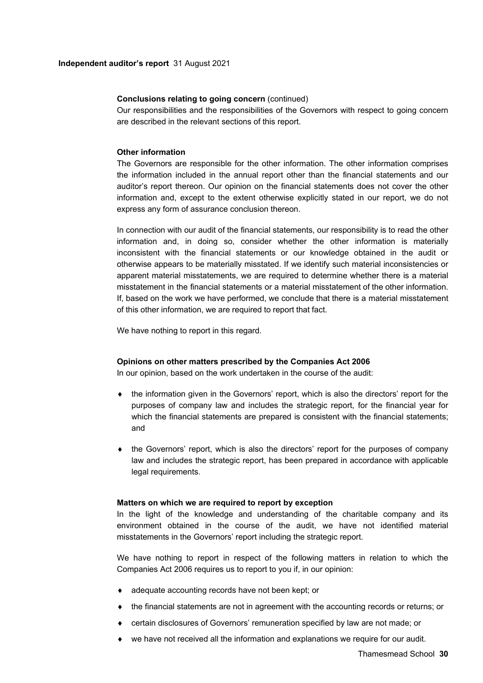#### **Conclusions relating to going concern** (continued)

Our responsibilities and the responsibilities of the Governors with respect to going concern are described in the relevant sections of this report.

#### **Other information**

The Governors are responsible for the other information. The other information comprises the information included in the annual report other than the financial statements and our auditor's report thereon. Our opinion on the financial statements does not cover the other information and, except to the extent otherwise explicitly stated in our report, we do not express any form of assurance conclusion thereon.

In connection with our audit of the financial statements, our responsibility is to read the other information and, in doing so, consider whether the other information is materially inconsistent with the financial statements or our knowledge obtained in the audit or otherwise appears to be materially misstated. If we identify such material inconsistencies or apparent material misstatements, we are required to determine whether there is a material misstatement in the financial statements or a material misstatement of the other information. If, based on the work we have performed, we conclude that there is a material misstatement of this other information, we are required to report that fact.

We have nothing to report in this regard.

#### **Opinions on other matters prescribed by the Companies Act 2006**

In our opinion, based on the work undertaken in the course of the audit:

- the information given in the Governors' report, which is also the directors' report for the purposes of company law and includes the strategic report, for the financial year for which the financial statements are prepared is consistent with the financial statements; and
- the Governors' report, which is also the directors' report for the purposes of company law and includes the strategic report, has been prepared in accordance with applicable legal requirements.

#### **Matters on which we are required to report by exception**

In the light of the knowledge and understanding of the charitable company and its environment obtained in the course of the audit, we have not identified material misstatements in the Governors' report including the strategic report.

We have nothing to report in respect of the following matters in relation to which the Companies Act 2006 requires us to report to you if, in our opinion:

- adequate accounting records have not been kept; or
- $\bullet$  the financial statements are not in agreement with the accounting records or returns; or
- certain disclosures of Governors' remuneration specified by law are not made; or
- we have not received all the information and explanations we require for our audit.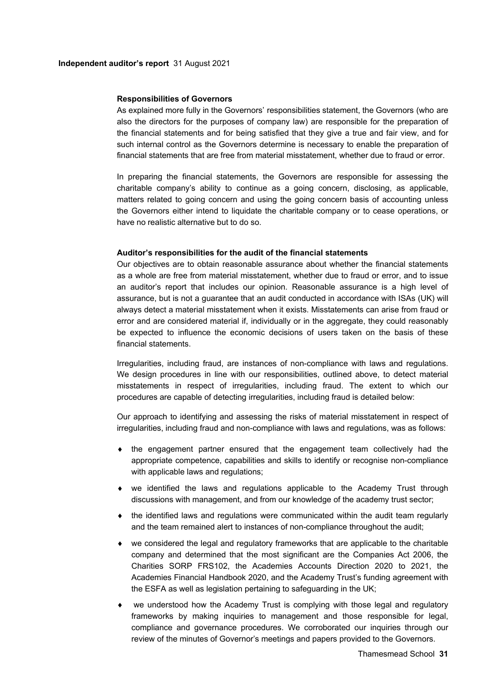#### **Responsibilities of Governors**

As explained more fully in the Governors' responsibilities statement, the Governors (who are also the directors for the purposes of company law) are responsible for the preparation of the financial statements and for being satisfied that they give a true and fair view, and for such internal control as the Governors determine is necessary to enable the preparation of financial statements that are free from material misstatement, whether due to fraud or error.

In preparing the financial statements, the Governors are responsible for assessing the charitable company's ability to continue as a going concern, disclosing, as applicable, matters related to going concern and using the going concern basis of accounting unless the Governors either intend to liquidate the charitable company or to cease operations, or have no realistic alternative but to do so.

### **Auditor's responsibilities for the audit of the financial statements**

Our objectives are to obtain reasonable assurance about whether the financial statements as a whole are free from material misstatement, whether due to fraud or error, and to issue an auditor's report that includes our opinion. Reasonable assurance is a high level of assurance, but is not a guarantee that an audit conducted in accordance with ISAs (UK) will always detect a material misstatement when it exists. Misstatements can arise from fraud or error and are considered material if, individually or in the aggregate, they could reasonably be expected to influence the economic decisions of users taken on the basis of these financial statements.

Irregularities, including fraud, are instances of non-compliance with laws and regulations. We design procedures in line with our responsibilities, outlined above, to detect material misstatements in respect of irregularities, including fraud. The extent to which our procedures are capable of detecting irregularities, including fraud is detailed below:

Our approach to identifying and assessing the risks of material misstatement in respect of irregularities, including fraud and non-compliance with laws and regulations, was as follows:

- the engagement partner ensured that the engagement team collectively had the appropriate competence, capabilities and skills to identify or recognise non-compliance with applicable laws and regulations;
- we identified the laws and regulations applicable to the Academy Trust through discussions with management, and from our knowledge of the academy trust sector;
- the identified laws and regulations were communicated within the audit team regularly and the team remained alert to instances of non-compliance throughout the audit;
- we considered the legal and regulatory frameworks that are applicable to the charitable company and determined that the most significant are the Companies Act 2006, the Charities SORP FRS102, the Academies Accounts Direction 2020 to 2021, the Academies Financial Handbook 2020, and the Academy Trust's funding agreement with the ESFA as well as legislation pertaining to safeguarding in the UK;
- we understood how the Academy Trust is complying with those legal and regulatory frameworks by making inquiries to management and those responsible for legal, compliance and governance procedures. We corroborated our inquiries through our review of the minutes of Governor's meetings and papers provided to the Governors.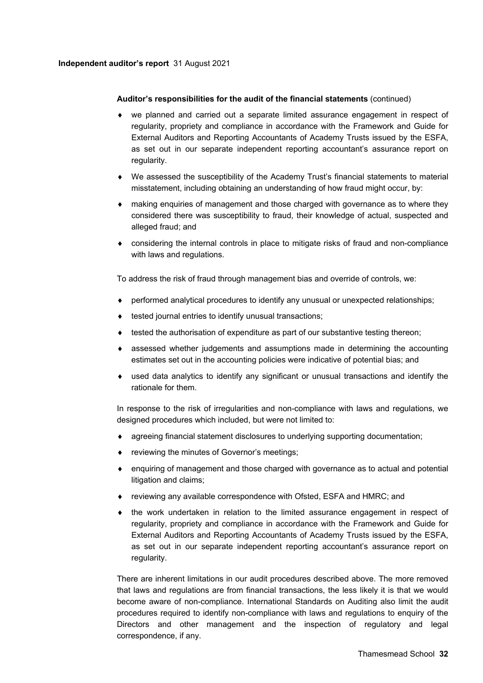### **Independent auditor's report** 31 August 2021

### **Auditor's responsibilities for the audit of the financial statements** (continued)

- we planned and carried out a separate limited assurance engagement in respect of regularity, propriety and compliance in accordance with the Framework and Guide for External Auditors and Reporting Accountants of Academy Trusts issued by the ESFA, as set out in our separate independent reporting accountant's assurance report on regularity.
- We assessed the susceptibility of the Academy Trust's financial statements to material misstatement, including obtaining an understanding of how fraud might occur, by:
- making enquiries of management and those charged with governance as to where they considered there was susceptibility to fraud, their knowledge of actual, suspected and alleged fraud; and
- considering the internal controls in place to mitigate risks of fraud and non-compliance with laws and regulations.

To address the risk of fraud through management bias and override of controls, we:

- performed analytical procedures to identify any unusual or unexpected relationships;
- tested journal entries to identify unusual transactions;
- tested the authorisation of expenditure as part of our substantive testing thereon;
- assessed whether judgements and assumptions made in determining the accounting estimates set out in the accounting policies were indicative of potential bias; and
- used data analytics to identify any significant or unusual transactions and identify the rationale for them.

In response to the risk of irregularities and non-compliance with laws and regulations, we designed procedures which included, but were not limited to:

- agreeing financial statement disclosures to underlying supporting documentation;
- reviewing the minutes of Governor's meetings;
- enquiring of management and those charged with governance as to actual and potential litigation and claims;
- reviewing any available correspondence with Ofsted, ESFA and HMRC; and
- $\bullet$  the work undertaken in relation to the limited assurance engagement in respect of regularity, propriety and compliance in accordance with the Framework and Guide for External Auditors and Reporting Accountants of Academy Trusts issued by the ESFA, as set out in our separate independent reporting accountant's assurance report on regularity.

There are inherent limitations in our audit procedures described above. The more removed that laws and regulations are from financial transactions, the less likely it is that we would become aware of non-compliance. International Standards on Auditing also limit the audit procedures required to identify non-compliance with laws and regulations to enquiry of the Directors and other management and the inspection of regulatory and legal correspondence, if any.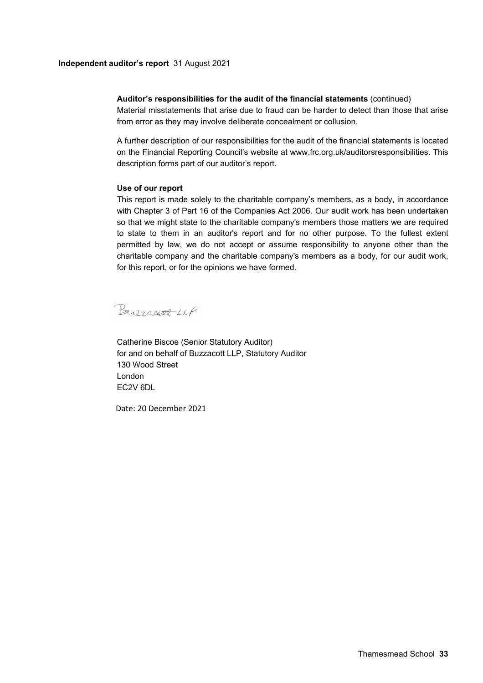#### **Independent auditor's report** 31 August 2021

### **Auditor's responsibilities for the audit of the financial statements** (continued)

Material misstatements that arise due to fraud can be harder to detect than those that arise from error as they may involve deliberate concealment or collusion.

A further description of our responsibilities for the audit of the financial statements is located on the Financial Reporting Council's website at www.frc.org.uk/auditorsresponsibilities. This description forms part of our auditor's report.

#### **Use of our report**

This report is made solely to the charitable company's members, as a body, in accordance with Chapter 3 of Part 16 of the Companies Act 2006. Our audit work has been undertaken so that we might state to the charitable company's members those matters we are required to state to them in an auditor's report and for no other purpose. To the fullest extent permitted by law, we do not accept or assume responsibility to anyone other than the charitable company and the charitable company's members as a body, for our audit work, for this report, or for the opinions we have formed.

Burracett LCP

Catherine Biscoe (Senior Statutory Auditor) for and on behalf of Buzzacott LLP, Statutory Auditor 130 Wood Street London EC2V 6DL

Date: 20 December 2021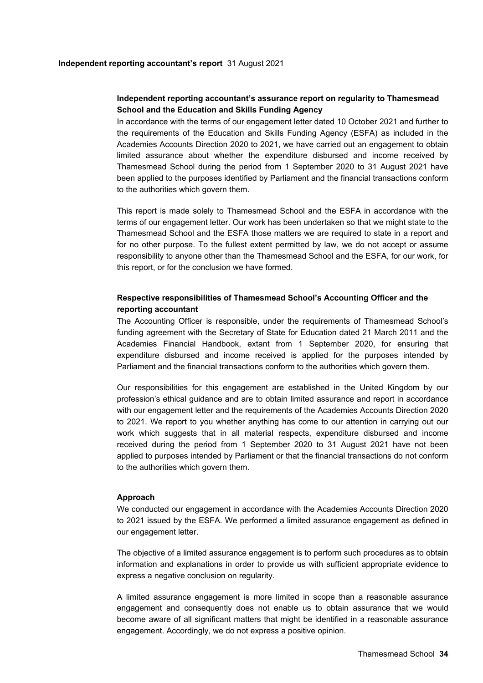# **Independent reporting accountant's assurance report on regularity to Thamesmead School and the Education and Skills Funding Agency**

In accordance with the terms of our engagement letter dated 10 October 2021 and further to the requirements of the Education and Skills Funding Agency (ESFA) as included in the Academies Accounts Direction 2020 to 2021, we have carried out an engagement to obtain limited assurance about whether the expenditure disbursed and income received by Thamesmead School during the period from 1 September 2020 to 31 August 2021 have been applied to the purposes identified by Parliament and the financial transactions conform to the authorities which govern them.

This report is made solely to Thamesmead School and the ESFA in accordance with the terms of our engagement letter. Our work has been undertaken so that we might state to the Thamesmead School and the ESFA those matters we are required to state in a report and for no other purpose. To the fullest extent permitted by law, we do not accept or assume responsibility to anyone other than the Thamesmead School and the ESFA, for our work, for this report, or for the conclusion we have formed.

# **Respective responsibilities of Thamesmead School's Accounting Officer and the reporting accountant**

The Accounting Officer is responsible, under the requirements of Thamesmead School's funding agreement with the Secretary of State for Education dated 21 March 2011 and the Academies Financial Handbook, extant from 1 September 2020, for ensuring that expenditure disbursed and income received is applied for the purposes intended by Parliament and the financial transactions conform to the authorities which govern them.

Our responsibilities for this engagement are established in the United Kingdom by our profession's ethical guidance and are to obtain limited assurance and report in accordance with our engagement letter and the requirements of the Academies Accounts Direction 2020 to 2021. We report to you whether anything has come to our attention in carrying out our work which suggests that in all material respects, expenditure disbursed and income received during the period from 1 September 2020 to 31 August 2021 have not been applied to purposes intended by Parliament or that the financial transactions do not conform to the authorities which govern them.

#### **Approach**

We conducted our engagement in accordance with the Academies Accounts Direction 2020 to 2021 issued by the ESFA. We performed a limited assurance engagement as defined in our engagement letter.

The objective of a limited assurance engagement is to perform such procedures as to obtain information and explanations in order to provide us with sufficient appropriate evidence to express a negative conclusion on regularity.

A limited assurance engagement is more limited in scope than a reasonable assurance engagement and consequently does not enable us to obtain assurance that we would become aware of all significant matters that might be identified in a reasonable assurance engagement. Accordingly, we do not express a positive opinion.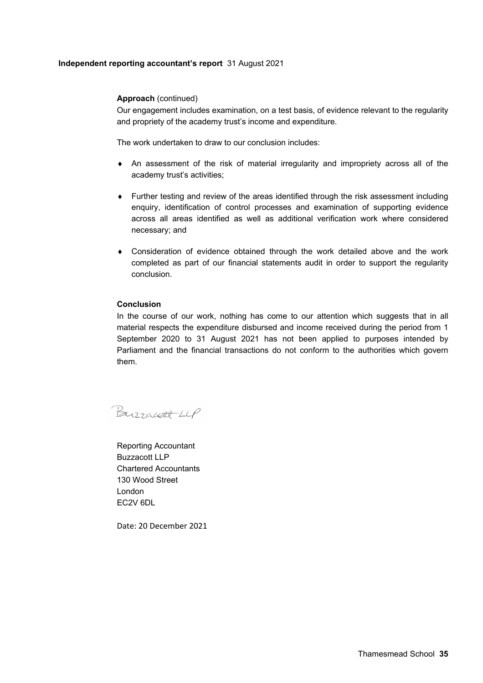# **Independent reporting accountant's report** 31 August 2021

### **Approach** (continued)

Our engagement includes examination, on a test basis, of evidence relevant to the regularity and propriety of the academy trust's income and expenditure.

The work undertaken to draw to our conclusion includes:

- An assessment of the risk of material irregularity and impropriety across all of the academy trust's activities;
- Further testing and review of the areas identified through the risk assessment including enquiry, identification of control processes and examination of supporting evidence across all areas identified as well as additional verification work where considered necessary; and
- Consideration of evidence obtained through the work detailed above and the work completed as part of our financial statements audit in order to support the regularity conclusion.

### **Conclusion**

In the course of our work, nothing has come to our attention which suggests that in all material respects the expenditure disbursed and income received during the period from 1 September 2020 to 31 August 2021 has not been applied to purposes intended by Parliament and the financial transactions do not conform to the authorities which govern them.

Burracoll LLP

Reporting Accountant Buzzacott LLP Chartered Accountants 130 Wood Street London EC2V 6DL

Date: 20 December 2021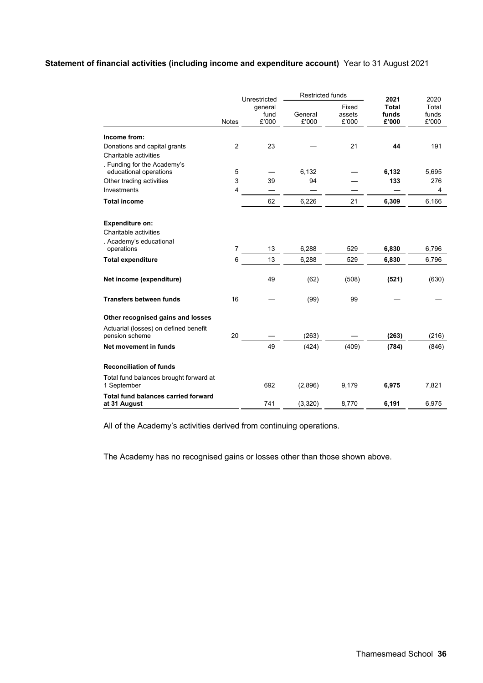# **Statement of financial activities (including income and expenditure account)** Year to 31 August 2021

|                                                                            |                | Unrestricted             | <b>Restricted funds</b> |                          | 2021                           | 2020                    |
|----------------------------------------------------------------------------|----------------|--------------------------|-------------------------|--------------------------|--------------------------------|-------------------------|
|                                                                            | <b>Notes</b>   | general<br>fund<br>£'000 | General<br>£'000        | Fixed<br>assets<br>£'000 | <b>Total</b><br>funds<br>£'000 | Total<br>funds<br>£'000 |
| Income from:                                                               |                |                          |                         |                          |                                |                         |
| Donations and capital grants<br>Charitable activities                      | $\overline{2}$ | 23                       |                         | 21                       | 44                             | 191                     |
| . Funding for the Academy's<br>educational operations                      | 5              |                          | 6,132                   |                          | 6,132                          | 5,695                   |
| Other trading activities                                                   | 3              | 39                       | 94                      |                          | 133                            | 276                     |
| Investments                                                                | 4              |                          |                         |                          |                                | 4                       |
| <b>Total income</b>                                                        |                | 62                       | 6,226                   | 21                       | 6,309                          | 6,166                   |
| <b>Expenditure on:</b><br>Charitable activities<br>. Academy's educational |                |                          |                         |                          |                                |                         |
| operations                                                                 | 7              | 13                       | 6,288                   | 529                      | 6,830                          | 6,796                   |
| <b>Total expenditure</b>                                                   | 6              | 13                       | 6,288                   | 529                      | 6,830                          | 6,796                   |
| Net income (expenditure)                                                   |                | 49                       | (62)                    | (508)                    | (521)                          | (630)                   |
| <b>Transfers between funds</b>                                             | 16             |                          | (99)                    | 99                       |                                |                         |
| Other recognised gains and losses                                          |                |                          |                         |                          |                                |                         |
| Actuarial (losses) on defined benefit<br>pension scheme                    | 20             |                          | (263)                   |                          | (263)                          | (216)                   |
| Net movement in funds                                                      |                | 49                       | (424)                   | (409)                    | (784)                          | (846)                   |
| <b>Reconciliation of funds</b>                                             |                |                          |                         |                          |                                |                         |
| Total fund balances brought forward at<br>1 September                      |                | 692                      | (2,896)                 | 9,179                    | 6,975                          | 7,821                   |
| <b>Total fund balances carried forward</b><br>at 31 August                 |                | 741                      | (3,320)                 | 8.770                    | 6,191                          | 6,975                   |

All of the Academy's activities derived from continuing operations.

The Academy has no recognised gains or losses other than those shown above.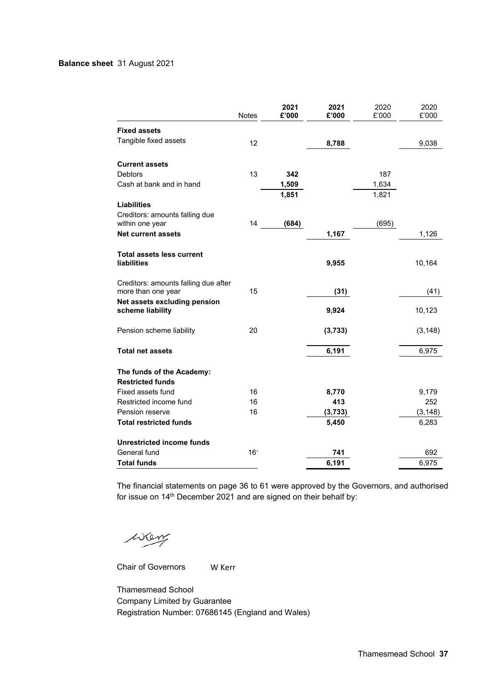### **Balance sheet** 31 August 2021

|                                                            | <b>Notes</b>    | 2021<br>£'000 | 2021<br>£'000 | 2020<br>£'000 | 2020<br>£'000 |
|------------------------------------------------------------|-----------------|---------------|---------------|---------------|---------------|
| <b>Fixed assets</b>                                        |                 |               |               |               |               |
| Tangible fixed assets                                      | 12              |               | 8,788         |               | 9,038         |
| <b>Current assets</b>                                      |                 |               |               |               |               |
| Debtors                                                    | 13              | 342           |               | 187           |               |
| Cash at bank and in hand                                   |                 | 1,509         |               | 1,634         |               |
|                                                            |                 | 1,851         |               | 1,821         |               |
| <b>Liabilities</b>                                         |                 |               |               |               |               |
| Creditors: amounts falling due                             |                 |               |               |               |               |
| within one year                                            | 14              | (684)         |               | (695)         |               |
| <b>Net current assets</b>                                  |                 |               | 1,167         |               | 1,126         |
| Total assets less current<br><b>liabilities</b>            |                 |               | 9,955         |               | 10,164        |
| Creditors: amounts falling due after<br>more than one year | 15              |               | (31)          |               | (41)          |
| Net assets excluding pension<br>scheme liability           |                 |               | 9,924         |               | 10,123        |
| Pension scheme liability                                   | 20              |               | (3,733)       |               | (3, 148)      |
| <b>Total net assets</b>                                    |                 |               | 6,191         |               | 6,975         |
| The funds of the Academy:<br><b>Restricted funds</b>       |                 |               |               |               |               |
| Fixed assets fund                                          | 16              |               | 8,770         |               | 9,179         |
| Restricted income fund                                     | 16              |               | 413           |               | 252           |
| Pension reserve                                            | 16              |               | (3,733)       |               | (3, 148)      |
| <b>Total restricted funds</b>                              |                 |               | 5,450         |               | 6,283         |
| <b>Unrestricted income funds</b>                           |                 |               |               |               |               |
| General fund                                               | 16 <sup>7</sup> |               | 741           |               | 692           |
| <b>Total funds</b>                                         |                 |               | 6,191         |               | 6,975         |

The financial statements on page 36 to 61 were approved by the Governors, and authorised for issue on 14th December 2021 and are signed on their behalf by:

wen

Chair of Governors

W Kerr

Thamesmead School Company Limited by Guarantee Registration Number: 07686145 (England and Wales)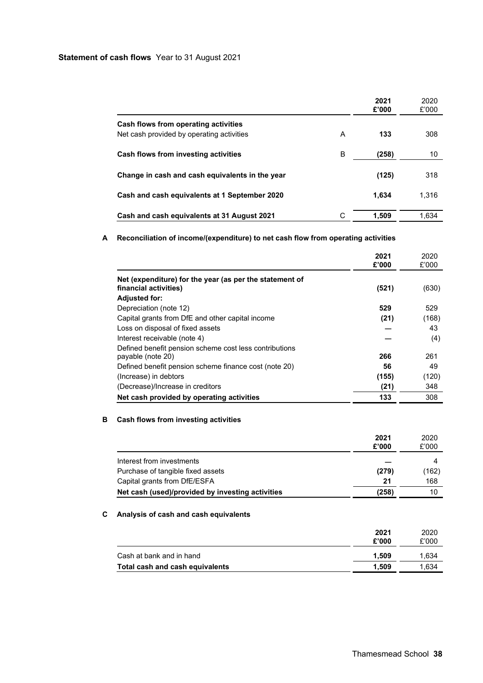### **Statement of cash flows** Year to 31 August 2021

|                                                 |   | 2021<br>£'000 | 2020<br>£'000 |
|-------------------------------------------------|---|---------------|---------------|
| Cash flows from operating activities            |   |               |               |
| Net cash provided by operating activities       | A | 133           | 308           |
| Cash flows from investing activities            | в | (258)         | 10            |
|                                                 |   |               | 318           |
| Change in cash and cash equivalents in the year |   | (125)         |               |
| Cash and cash equivalents at 1 September 2020   |   | 1,634         | 1.316         |
| Cash and cash equivalents at 31 August 2021     |   | 1.509         | 1.634         |

# **A Reconciliation of income/(expenditure) to net cash flow from operating activities**

|                                                                                  | 2021<br>£'000 | 2020<br>£'000 |
|----------------------------------------------------------------------------------|---------------|---------------|
| Net (expenditure) for the year (as per the statement of<br>financial activities) | (521)         | (630)         |
| <b>Adjusted for:</b>                                                             |               |               |
| Depreciation (note 12)                                                           | 529           | 529           |
| Capital grants from DfE and other capital income                                 | (21)          | (168)         |
| Loss on disposal of fixed assets                                                 |               | 43            |
| Interest receivable (note 4)                                                     |               | (4)           |
| Defined benefit pension scheme cost less contributions<br>payable (note 20)      | 266           | 261           |
| Defined benefit pension scheme finance cost (note 20)                            | 56            | 49            |
| (Increase) in debtors                                                            | (155)         | (120)         |
| (Decrease)/Increase in creditors                                                 | (21)          | 348           |
| Net cash provided by operating activities                                        | 133           | 308           |

# **B Cash flows from investing activities**

|                                                  | 2021<br>£'000 | 2020<br>£'000 |
|--------------------------------------------------|---------------|---------------|
| Interest from investments                        |               |               |
| Purchase of tangible fixed assets                | (279)         | (162)         |
| Capital grants from DfE/ESFA                     | 21            | 168           |
| Net cash (used)/provided by investing activities | (258)         | 10            |

# **C Analysis of cash and cash equivalents**

|                                 | 2021<br>£'000 | 2020<br>£'000 |
|---------------------------------|---------------|---------------|
| Cash at bank and in hand        | 1.509         | 1.634         |
| Total cash and cash equivalents | 1.509         | 1.634         |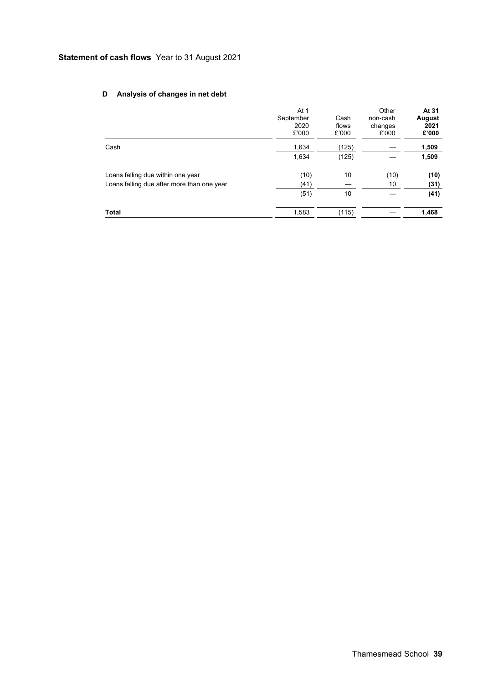# **Statement of cash flows** Year to 31 August 2021

# **D Analysis of changes in net debt**

|                                            | At 1<br>September<br>2020<br>£'000 | Cash<br>flows<br>£'000 | Other<br>non-cash<br>changes<br>£'000 | At 31<br>August<br>2021<br>£'000 |
|--------------------------------------------|------------------------------------|------------------------|---------------------------------------|----------------------------------|
| Cash                                       | 1,634                              | (125)                  |                                       | 1,509                            |
|                                            | 1,634                              | (125)                  |                                       | 1,509                            |
| Loans falling due within one year          | (10)                               | 10                     | (10)                                  | (10)                             |
| Loans falling due after more than one year | (41)                               |                        | 10                                    | (31)                             |
|                                            | (51)                               | 10                     |                                       | (41)                             |
| Total                                      | 1,583                              | (115)                  |                                       | 1,468                            |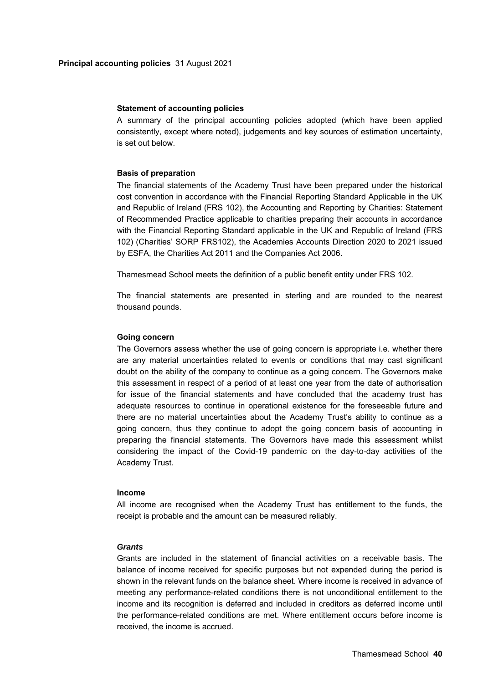#### **Statement of accounting policies**

A summary of the principal accounting policies adopted (which have been applied consistently, except where noted), judgements and key sources of estimation uncertainty, is set out below.

#### **Basis of preparation**

The financial statements of the Academy Trust have been prepared under the historical cost convention in accordance with the Financial Reporting Standard Applicable in the UK and Republic of Ireland (FRS 102), the Accounting and Reporting by Charities: Statement of Recommended Practice applicable to charities preparing their accounts in accordance with the Financial Reporting Standard applicable in the UK and Republic of Ireland (FRS 102) (Charities' SORP FRS102), the Academies Accounts Direction 2020 to 2021 issued by ESFA, the Charities Act 2011 and the Companies Act 2006.

Thamesmead School meets the definition of a public benefit entity under FRS 102.

The financial statements are presented in sterling and are rounded to the nearest thousand pounds.

#### **Going concern**

The Governors assess whether the use of going concern is appropriate i.e. whether there are any material uncertainties related to events or conditions that may cast significant doubt on the ability of the company to continue as a going concern. The Governors make this assessment in respect of a period of at least one year from the date of authorisation for issue of the financial statements and have concluded that the academy trust has adequate resources to continue in operational existence for the foreseeable future and there are no material uncertainties about the Academy Trust's ability to continue as a going concern, thus they continue to adopt the going concern basis of accounting in preparing the financial statements. The Governors have made this assessment whilst considering the impact of the Covid-19 pandemic on the day-to-day activities of the Academy Trust.

# **Income**

All income are recognised when the Academy Trust has entitlement to the funds, the receipt is probable and the amount can be measured reliably.

### *Grants*

Grants are included in the statement of financial activities on a receivable basis. The balance of income received for specific purposes but not expended during the period is shown in the relevant funds on the balance sheet. Where income is received in advance of meeting any performance-related conditions there is not unconditional entitlement to the income and its recognition is deferred and included in creditors as deferred income until the performance-related conditions are met. Where entitlement occurs before income is received, the income is accrued.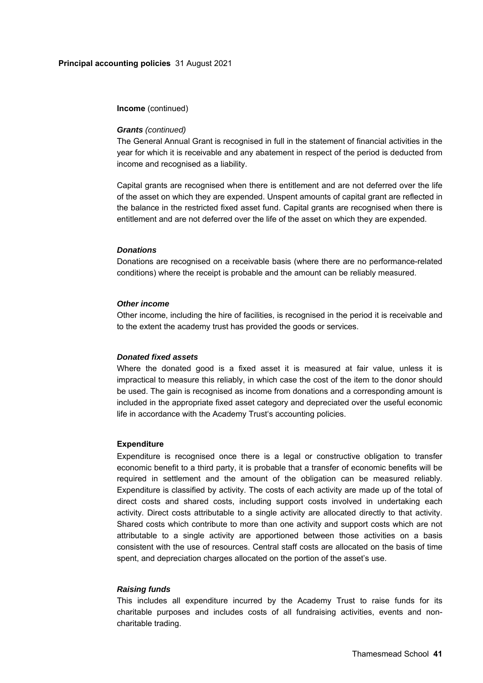**Income** (continued)

#### *Grants (continued)*

The General Annual Grant is recognised in full in the statement of financial activities in the year for which it is receivable and any abatement in respect of the period is deducted from income and recognised as a liability.

Capital grants are recognised when there is entitlement and are not deferred over the life of the asset on which they are expended. Unspent amounts of capital grant are reflected in the balance in the restricted fixed asset fund. Capital grants are recognised when there is entitlement and are not deferred over the life of the asset on which they are expended.

#### *Donations*

Donations are recognised on a receivable basis (where there are no performance-related conditions) where the receipt is probable and the amount can be reliably measured.

#### *Other income*

Other income, including the hire of facilities, is recognised in the period it is receivable and to the extent the academy trust has provided the goods or services.

#### *Donated fixed assets*

Where the donated good is a fixed asset it is measured at fair value, unless it is impractical to measure this reliably, in which case the cost of the item to the donor should be used. The gain is recognised as income from donations and a corresponding amount is included in the appropriate fixed asset category and depreciated over the useful economic life in accordance with the Academy Trust's accounting policies.

#### **Expenditure**

Expenditure is recognised once there is a legal or constructive obligation to transfer economic benefit to a third party, it is probable that a transfer of economic benefits will be required in settlement and the amount of the obligation can be measured reliably. Expenditure is classified by activity. The costs of each activity are made up of the total of direct costs and shared costs, including support costs involved in undertaking each activity. Direct costs attributable to a single activity are allocated directly to that activity. Shared costs which contribute to more than one activity and support costs which are not attributable to a single activity are apportioned between those activities on a basis consistent with the use of resources. Central staff costs are allocated on the basis of time spent, and depreciation charges allocated on the portion of the asset's use.

#### *Raising funds*

This includes all expenditure incurred by the Academy Trust to raise funds for its charitable purposes and includes costs of all fundraising activities, events and noncharitable trading.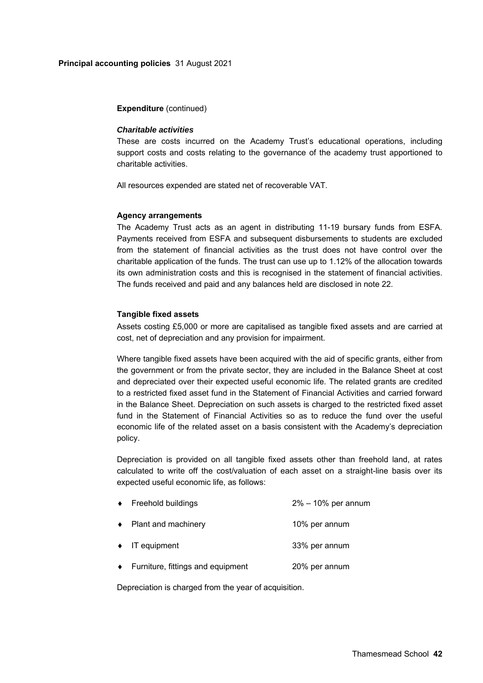#### **Expenditure** (continued)

#### *Charitable activities*

These are costs incurred on the Academy Trust's educational operations, including support costs and costs relating to the governance of the academy trust apportioned to charitable activities.

All resources expended are stated net of recoverable VAT.

#### **Agency arrangements**

The Academy Trust acts as an agent in distributing 11-19 bursary funds from ESFA. Payments received from ESFA and subsequent disbursements to students are excluded from the statement of financial activities as the trust does not have control over the charitable application of the funds. The trust can use up to 1.12% of the allocation towards its own administration costs and this is recognised in the statement of financial activities. The funds received and paid and any balances held are disclosed in note 22.

#### **Tangible fixed assets**

Assets costing £5,000 or more are capitalised as tangible fixed assets and are carried at cost, net of depreciation and any provision for impairment.

Where tangible fixed assets have been acquired with the aid of specific grants, either from the government or from the private sector, they are included in the Balance Sheet at cost and depreciated over their expected useful economic life. The related grants are credited to a restricted fixed asset fund in the Statement of Financial Activities and carried forward in the Balance Sheet. Depreciation on such assets is charged to the restricted fixed asset fund in the Statement of Financial Activities so as to reduce the fund over the useful economic life of the related asset on a basis consistent with the Academy's depreciation policy.

Depreciation is provided on all tangible fixed assets other than freehold land, at rates calculated to write off the cost/valuation of each asset on a straight-line basis over its expected useful economic life, as follows:

| $\bullet$ | Freehold buildings                | $2\% - 10\%$ per annum |
|-----------|-----------------------------------|------------------------|
| $\bullet$ | Plant and machinery               | 10% per annum          |
|           | $\bullet$ IT equipment            | 33% per annum          |
| $\bullet$ | Furniture, fittings and equipment | 20% per annum          |

Depreciation is charged from the year of acquisition.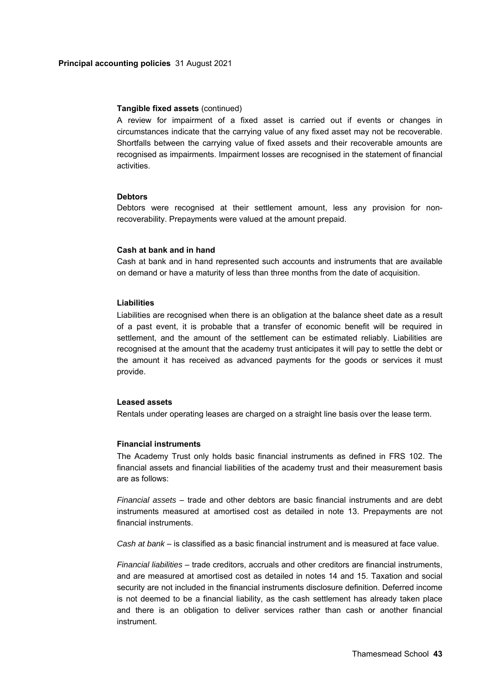#### **Tangible fixed assets** (continued)

A review for impairment of a fixed asset is carried out if events or changes in circumstances indicate that the carrying value of any fixed asset may not be recoverable. Shortfalls between the carrying value of fixed assets and their recoverable amounts are recognised as impairments. Impairment losses are recognised in the statement of financial activities.

#### **Debtors**

Debtors were recognised at their settlement amount, less any provision for nonrecoverability. Prepayments were valued at the amount prepaid.

#### **Cash at bank and in hand**

Cash at bank and in hand represented such accounts and instruments that are available on demand or have a maturity of less than three months from the date of acquisition.

#### **Liabilities**

Liabilities are recognised when there is an obligation at the balance sheet date as a result of a past event, it is probable that a transfer of economic benefit will be required in settlement, and the amount of the settlement can be estimated reliably. Liabilities are recognised at the amount that the academy trust anticipates it will pay to settle the debt or the amount it has received as advanced payments for the goods or services it must provide.

#### **Leased assets**

Rentals under operating leases are charged on a straight line basis over the lease term.

#### **Financial instruments**

The Academy Trust only holds basic financial instruments as defined in FRS 102. The financial assets and financial liabilities of the academy trust and their measurement basis are as follows:

*Financial assets* – trade and other debtors are basic financial instruments and are debt instruments measured at amortised cost as detailed in note 13. Prepayments are not financial instruments.

*Cash at bank* – is classified as a basic financial instrument and is measured at face value.

*Financial liabilities* – trade creditors, accruals and other creditors are financial instruments, and are measured at amortised cost as detailed in notes 14 and 15. Taxation and social security are not included in the financial instruments disclosure definition. Deferred income is not deemed to be a financial liability, as the cash settlement has already taken place and there is an obligation to deliver services rather than cash or another financial instrument.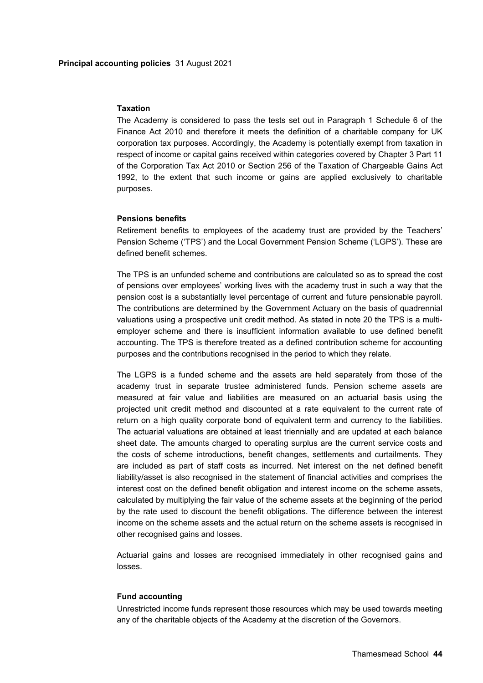#### **Taxation**

The Academy is considered to pass the tests set out in Paragraph 1 Schedule 6 of the Finance Act 2010 and therefore it meets the definition of a charitable company for UK corporation tax purposes. Accordingly, the Academy is potentially exempt from taxation in respect of income or capital gains received within categories covered by Chapter 3 Part 11 of the Corporation Tax Act 2010 or Section 256 of the Taxation of Chargeable Gains Act 1992, to the extent that such income or gains are applied exclusively to charitable purposes.

#### **Pensions benefits**

Retirement benefits to employees of the academy trust are provided by the Teachers' Pension Scheme ('TPS') and the Local Government Pension Scheme ('LGPS'). These are defined benefit schemes.

The TPS is an unfunded scheme and contributions are calculated so as to spread the cost of pensions over employees' working lives with the academy trust in such a way that the pension cost is a substantially level percentage of current and future pensionable payroll. The contributions are determined by the Government Actuary on the basis of quadrennial valuations using a prospective unit credit method. As stated in note 20 the TPS is a multiemployer scheme and there is insufficient information available to use defined benefit accounting. The TPS is therefore treated as a defined contribution scheme for accounting purposes and the contributions recognised in the period to which they relate.

The LGPS is a funded scheme and the assets are held separately from those of the academy trust in separate trustee administered funds. Pension scheme assets are measured at fair value and liabilities are measured on an actuarial basis using the projected unit credit method and discounted at a rate equivalent to the current rate of return on a high quality corporate bond of equivalent term and currency to the liabilities. The actuarial valuations are obtained at least triennially and are updated at each balance sheet date. The amounts charged to operating surplus are the current service costs and the costs of scheme introductions, benefit changes, settlements and curtailments. They are included as part of staff costs as incurred. Net interest on the net defined benefit liability/asset is also recognised in the statement of financial activities and comprises the interest cost on the defined benefit obligation and interest income on the scheme assets, calculated by multiplying the fair value of the scheme assets at the beginning of the period by the rate used to discount the benefit obligations. The difference between the interest income on the scheme assets and the actual return on the scheme assets is recognised in other recognised gains and losses.

Actuarial gains and losses are recognised immediately in other recognised gains and losses.

#### **Fund accounting**

Unrestricted income funds represent those resources which may be used towards meeting any of the charitable objects of the Academy at the discretion of the Governors.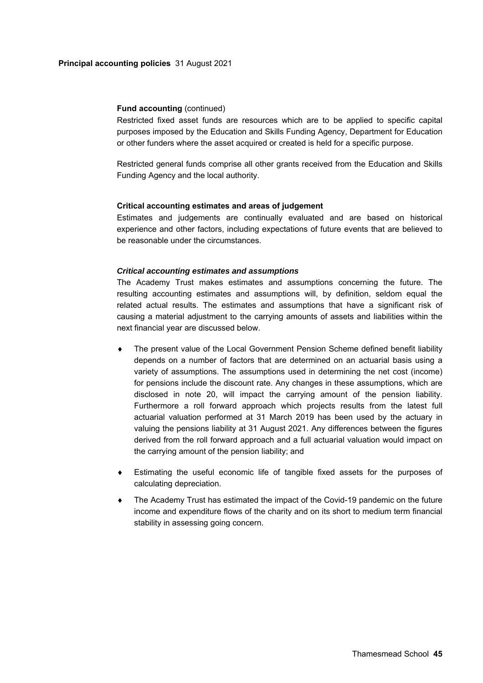#### **Principal accounting policies** 31 August 2021

# **Fund accounting (continued)**

Restricted fixed asset funds are resources which are to be applied to specific capital purposes imposed by the Education and Skills Funding Agency, Department for Education or other funders where the asset acquired or created is held for a specific purpose.

Restricted general funds comprise all other grants received from the Education and Skills Funding Agency and the local authority.

### **Critical accounting estimates and areas of judgement**

Estimates and judgements are continually evaluated and are based on historical experience and other factors, including expectations of future events that are believed to be reasonable under the circumstances.

# *Critical accounting estimates and assumptions*

The Academy Trust makes estimates and assumptions concerning the future. The resulting accounting estimates and assumptions will, by definition, seldom equal the related actual results. The estimates and assumptions that have a significant risk of causing a material adjustment to the carrying amounts of assets and liabilities within the next financial year are discussed below.

- The present value of the Local Government Pension Scheme defined benefit liability depends on a number of factors that are determined on an actuarial basis using a variety of assumptions. The assumptions used in determining the net cost (income) for pensions include the discount rate. Any changes in these assumptions, which are disclosed in note 20, will impact the carrying amount of the pension liability. Furthermore a roll forward approach which projects results from the latest full actuarial valuation performed at 31 March 2019 has been used by the actuary in valuing the pensions liability at 31 August 2021. Any differences between the figures derived from the roll forward approach and a full actuarial valuation would impact on the carrying amount of the pension liability; and
- Estimating the useful economic life of tangible fixed assets for the purposes of calculating depreciation.
- The Academy Trust has estimated the impact of the Covid-19 pandemic on the future income and expenditure flows of the charity and on its short to medium term financial stability in assessing going concern.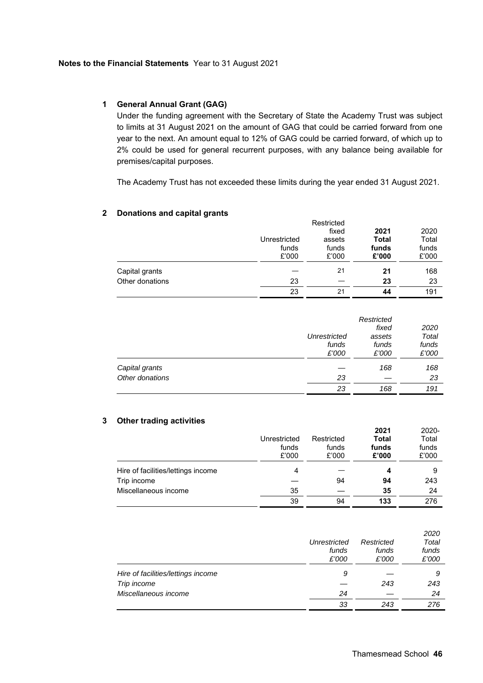# **1 General Annual Grant (GAG)**

Under the funding agreement with the Secretary of State the Academy Trust was subject to limits at 31 August 2021 on the amount of GAG that could be carried forward from one year to the next. An amount equal to 12% of GAG could be carried forward, of which up to 2% could be used for general recurrent purposes, with any balance being available for premises/capital purposes.

The Academy Trust has not exceeded these limits during the year ended 31 August 2021.

# **2 Donations and capital grants**

|                 |              | Restricted |              |       |
|-----------------|--------------|------------|--------------|-------|
|                 |              | fixed      | 2021         | 2020  |
|                 | Unrestricted | assets     | <b>Total</b> | Total |
|                 | funds        | funds      | funds        | funds |
|                 | £'000        | £'000      | £'000        | £'000 |
| Capital grants  |              | 21         | 21           | 168   |
| Other donations | 23           |            | 23           | 23    |
|                 | 23           | 21         | 44           | 191   |

|                 | Unrestricted<br>funds<br>£'000 | Restricted<br>fixed<br>assets<br>funds<br>£'000 | 2020<br>Total<br>funds<br>£'000 |
|-----------------|--------------------------------|-------------------------------------------------|---------------------------------|
| Capital grants  |                                | 168                                             | 168                             |
| Other donations | 23                             |                                                 | 23                              |
|                 | 23                             | 168                                             | 191                             |

# **3 Other trading activities**

|                                    | Unrestricted<br>funds<br>£'000 | Restricted<br>funds<br>£'000 | 2021<br><b>Total</b><br>funds<br>£'000 | 2020-<br>Total<br>funds<br>£'000 |
|------------------------------------|--------------------------------|------------------------------|----------------------------------------|----------------------------------|
| Hire of facilities/lettings income |                                |                              | 4                                      |                                  |
| Trip income                        |                                | 94                           | 94                                     | 243                              |
| Miscellaneous income               | 35                             |                              | 35                                     | 24                               |
|                                    | 39                             | 94                           | 133                                    | 276                              |

|                                    | Unrestricted<br>funds<br>£'000 | Restricted<br>funds<br>£'000 | 2020<br>Total<br>funds<br>£'000 |
|------------------------------------|--------------------------------|------------------------------|---------------------------------|
| Hire of facilities/lettings income | 9                              |                              | 9                               |
| Trip income                        |                                | 243                          | 243                             |
| Miscellaneous income               | 24                             |                              | 24                              |
|                                    | 33                             | 243                          | 276                             |

**2021** 

2020-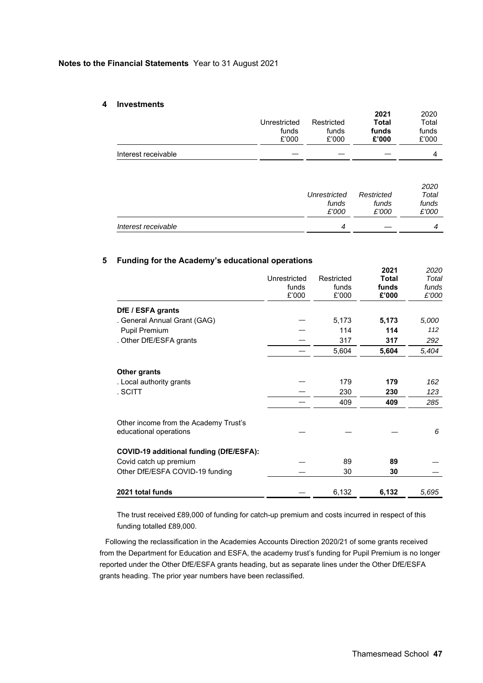#### **Notes to the Financial Statements** Year to 31 August 2021

#### **4 Investments**

|                     | Unrestricted<br>funds<br>£'000 | Restricted<br>funds<br>£'000 | 2021<br><b>Total</b><br>funds<br>£'000 | 2020<br>Total<br>funds<br>£'000 |
|---------------------|--------------------------------|------------------------------|----------------------------------------|---------------------------------|
| Interest receivable |                                |                              |                                        | 4                               |

### **5 Funding for the Academy's educational operations**

|                                                                 | Unrestricted<br>funds<br>£'000 | Restricted<br>funds<br>£'000 | 2021<br>Total<br>funds<br>£'000 | 2020<br>Total<br>funds<br>£'000 |
|-----------------------------------------------------------------|--------------------------------|------------------------------|---------------------------------|---------------------------------|
| DfE / ESFA grants                                               |                                |                              |                                 |                                 |
| . General Annual Grant (GAG)                                    |                                | 5,173                        | 5,173                           | 5,000                           |
| <b>Pupil Premium</b>                                            |                                | 114                          | 114                             | 112                             |
| . Other DfE/ESFA grants                                         |                                | 317                          | 317                             | 292                             |
|                                                                 |                                | 5,604                        | 5,604                           | 5,404                           |
| <b>Other grants</b>                                             |                                |                              |                                 |                                 |
| . Local authority grants                                        |                                | 179                          | 179                             | 162                             |
| . SCITT                                                         |                                | 230                          | 230                             | 123                             |
|                                                                 |                                | 409                          | 409                             | 285                             |
| Other income from the Academy Trust's<br>educational operations |                                |                              |                                 | 6                               |
| COVID-19 additional funding (DfE/ESFA):                         |                                |                              |                                 |                                 |
| Covid catch up premium                                          |                                | 89                           | 89                              |                                 |
| Other DfE/ESFA COVID-19 funding                                 |                                | 30                           | 30                              |                                 |
| 2021 total funds                                                |                                | 6,132                        | 6,132                           | 5,695                           |

The trust received £89,000 of funding for catch-up premium and costs incurred in respect of this funding totalled £89,000.

Following the reclassification in the Academies Accounts Direction 2020/21 of some grants received from the Department for Education and ESFA, the academy trust's funding for Pupil Premium is no longer reported under the Other DfE/ESFA grants heading, but as separate lines under the Other DfE/ESFA grants heading. The prior year numbers have been reclassified.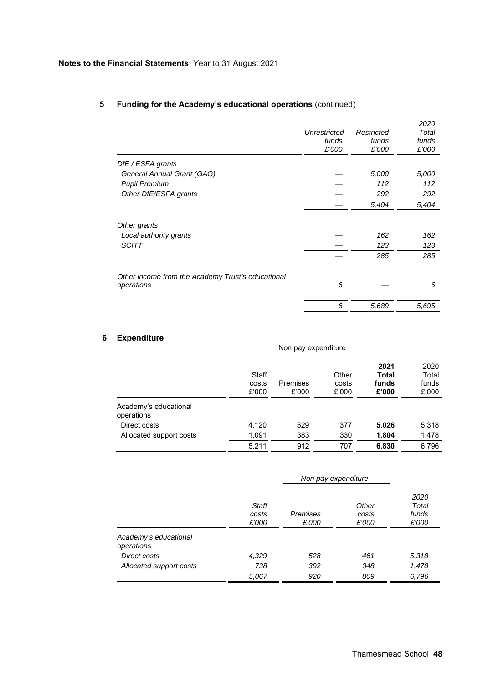|                                                                 | Unrestricted<br>funds<br>£'000 | Restricted<br>funds<br>£'000 | 2020<br>Total<br>funds<br>£'000 |
|-----------------------------------------------------------------|--------------------------------|------------------------------|---------------------------------|
| DfE / ESFA grants                                               |                                |                              |                                 |
| . General Annual Grant (GAG)                                    |                                | 5,000                        | 5,000                           |
| . Pupil Premium                                                 |                                | 112                          | 112                             |
| . Other DfE/ESFA grants                                         |                                | 292                          | 292                             |
|                                                                 |                                | 5,404                        | 5,404                           |
| Other grants<br>. Local authority grants<br>. SCITT             |                                | 162<br>123                   | 162<br>123                      |
|                                                                 |                                | 285                          | 285                             |
| Other income from the Academy Trust's educational<br>operations | 6                              |                              | 6                               |
|                                                                 | 6                              | 5,689                        | 5,695                           |

# **5 Funding for the Academy's educational operations** (continued)

# **6 Expenditure**

|                                     |                         | Non pay expenditure |                         |                                        |                                 |
|-------------------------------------|-------------------------|---------------------|-------------------------|----------------------------------------|---------------------------------|
|                                     | Staff<br>costs<br>£'000 | Premises<br>£'000   | Other<br>costs<br>£'000 | 2021<br><b>Total</b><br>funds<br>£'000 | 2020<br>Total<br>funds<br>£'000 |
| Academy's educational<br>operations |                         |                     |                         |                                        |                                 |
| . Direct costs                      | 4,120                   | 529                 | 377                     | 5,026                                  | 5,318                           |
| . Allocated support costs           | 1,091                   | 383                 | 330                     | 1,804                                  | 1,478                           |
|                                     | 5,211                   | 912                 | 707                     | 6,830                                  | 6,796                           |

|                                     |                         | Non pay expenditure |                         |                                 |
|-------------------------------------|-------------------------|---------------------|-------------------------|---------------------------------|
|                                     | Staff<br>costs<br>£'000 | Premises<br>£'000   | Other<br>costs<br>£'000 | 2020<br>Total<br>funds<br>£'000 |
| Academy's educational<br>operations |                         |                     |                         |                                 |
| . Direct costs                      | 4,329                   | 528                 | 461                     | 5,318                           |
| . Allocated support costs           | 738                     | 392                 | 348                     | 1,478                           |
|                                     | 5,067                   | 920                 | 809                     | 6,796                           |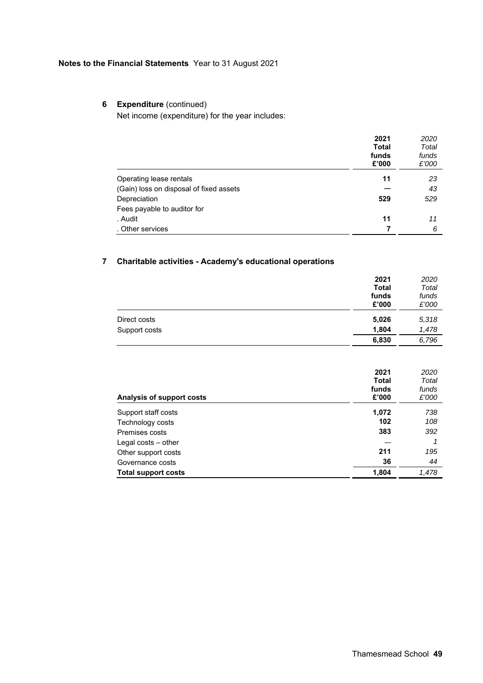# **Notes to the Financial Statements** Year to 31 August 2021

# **6** Expenditure (continued)

Net income (expenditure) for the year includes:

|                                         | 2021                           | 2020                    |
|-----------------------------------------|--------------------------------|-------------------------|
|                                         | <b>Total</b><br>funds<br>£'000 | Total<br>funds<br>£'000 |
| Operating lease rentals                 | 11                             | 23                      |
| (Gain) loss on disposal of fixed assets |                                | 43                      |
| Depreciation                            | 529                            | 529                     |
| Fees payable to auditor for             |                                |                         |
| . Audit                                 | 11                             | 11                      |
| . Other services                        |                                | 6                       |

# **7 Charitable activities - Academy's educational operations**

|               | 2021<br><b>Total</b><br>funds<br>£'000 | 2020<br>Total<br>funds<br>£'000 |
|---------------|----------------------------------------|---------------------------------|
| Direct costs  | 5,026                                  | 5,318                           |
| Support costs | 1,804                                  | 1,478                           |
|               | 6,830                                  | 6,796                           |

|                           | 2021         | 2020  |
|---------------------------|--------------|-------|
|                           | <b>Total</b> | Total |
|                           | funds        | funds |
| Analysis of support costs | £'000        | £'000 |
| Support staff costs       | 1,072        | 738   |
| Technology costs          | 102          | 108   |
| Premises costs            | 383          | 392   |
| Legal costs $-$ other     |              |       |
| Other support costs       | 211          | 195   |
| Governance costs          | 36           | 44    |
| Total support costs       | 1,804        | 1,478 |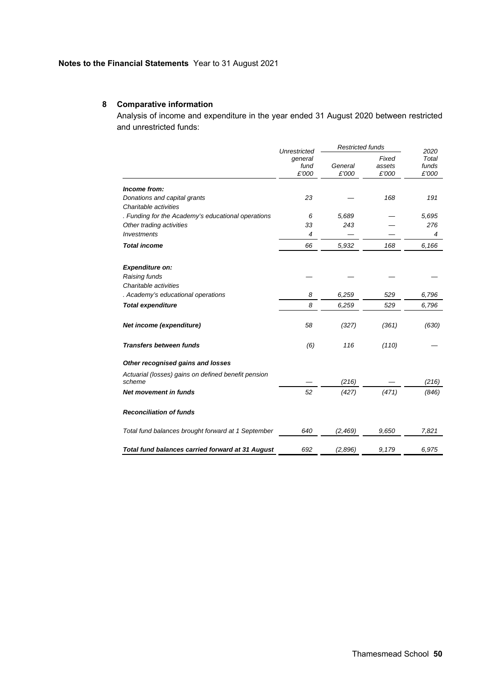# **8 Comparative information**

Analysis of income and expenditure in the year ended 31 August 2020 between restricted and unrestricted funds:

|                                                     |                          | <b>Restricted funds</b><br>Unrestricted |                          | 2020                    |
|-----------------------------------------------------|--------------------------|-----------------------------------------|--------------------------|-------------------------|
|                                                     | general<br>fund<br>£'000 | General<br>£'000                        | Fixed<br>assets<br>£'000 | Total<br>funds<br>£'000 |
| Income from:                                        |                          |                                         |                          |                         |
| Donations and capital grants                        | 23                       |                                         | 168                      | 191                     |
| Charitable activities                               |                          |                                         |                          |                         |
| . Funding for the Academy's educational operations  | 6                        | 5,689                                   |                          | 5,695                   |
| Other trading activities                            | 33                       | 243                                     |                          | 276                     |
| <b>Investments</b>                                  | 4                        |                                         |                          | 4                       |
| <b>Total income</b>                                 | 66                       | 5,932                                   | 168                      | 6,166                   |
| <b>Expenditure on:</b>                              |                          |                                         |                          |                         |
| Raising funds                                       |                          |                                         |                          |                         |
| Charitable activities                               |                          |                                         |                          |                         |
| . Academy's educational operations                  | 8                        | 6,259                                   | 529                      | 6,796                   |
| <b>Total expenditure</b>                            | 8                        | 6,259                                   | 529                      | 6,796                   |
|                                                     |                          |                                         |                          |                         |
| Net income (expenditure)                            | 58                       | (327)                                   | (361)                    | (630)                   |
| <b>Transfers between funds</b>                      | (6)                      | 116                                     | (110)                    |                         |
| Other recognised gains and losses                   |                          |                                         |                          |                         |
| Actuarial (losses) gains on defined benefit pension |                          |                                         |                          |                         |
| scheme                                              |                          | (216)                                   |                          | (216)                   |
| Net movement in funds                               | 52                       | (427)                                   | (471)                    | (846)                   |
| <b>Reconciliation of funds</b>                      |                          |                                         |                          |                         |
| Total fund balances brought forward at 1 September  | 640                      | (2, 469)                                | 9,650                    | 7,821                   |
| Total fund balances carried forward at 31 August    | 692                      | (2,896)                                 | 9,179                    | 6.975                   |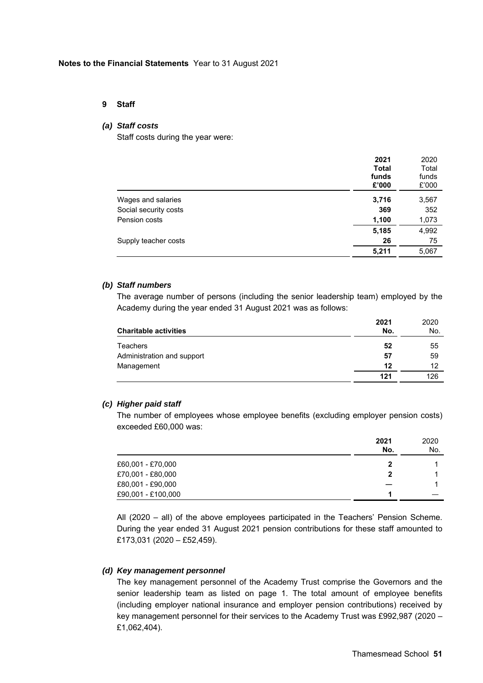#### **9 Staff**

### *(a) Staff costs*

Staff costs during the year were:

|                       | 2021<br><b>Total</b><br>funds<br>£'000 | 2020<br>Total<br>funds<br>£'000 |
|-----------------------|----------------------------------------|---------------------------------|
| Wages and salaries    | 3,716                                  | 3,567                           |
| Social security costs | 369                                    | 352                             |
| Pension costs         | 1,100                                  | 1,073                           |
|                       | 5,185                                  | 4,992                           |
| Supply teacher costs  | 26                                     | 75                              |
|                       | 5,211                                  | 5,067                           |

#### *(b) Staff numbers*

The average number of persons (including the senior leadership team) employed by the Academy during the year ended 31 August 2021 was as follows:

| <b>Charitable activities</b> | 2021<br>No. | 2020<br>No. |
|------------------------------|-------------|-------------|
| <b>Teachers</b>              | 52          | 55          |
| Administration and support   | 57          | 59          |
| Management                   | 12          | 12          |
|                              | 121         | 126         |

### *(c) Higher paid staff*

The number of employees whose employee benefits (excluding employer pension costs) exceeded £60,000 was:

|                    | 2021<br>No. | 2020<br>No. |
|--------------------|-------------|-------------|
| £60,001 - £70,000  | 2           |             |
| £70,001 - £80,000  | 2           |             |
| £80,001 - £90,000  |             |             |
| £90,001 - £100,000 |             |             |

All (2020 – all) of the above employees participated in the Teachers' Pension Scheme. During the year ended 31 August 2021 pension contributions for these staff amounted to £173,031 (2020 – £52,459).

#### *(d) Key management personnel*

The key management personnel of the Academy Trust comprise the Governors and the senior leadership team as listed on page 1. The total amount of employee benefits (including employer national insurance and employer pension contributions) received by key management personnel for their services to the Academy Trust was £992,987 (2020 – £1,062,404).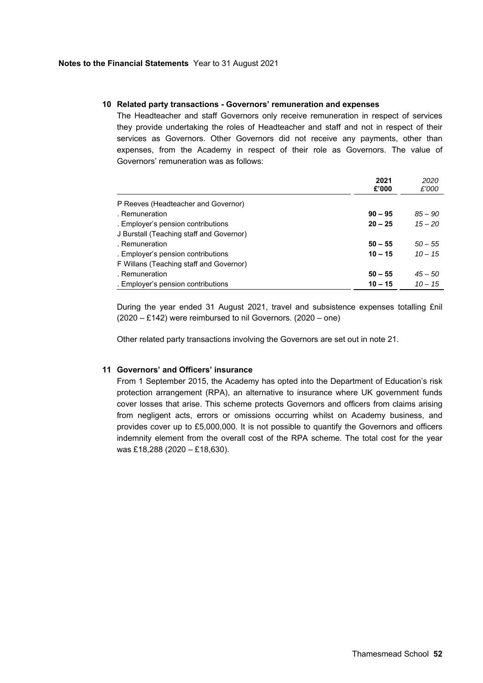#### **10 Related party transactions - Governors' remuneration and expenses**

The Headteacher and staff Governors only receive remuneration in respect of services they provide undertaking the roles of Headteacher and staff and not in respect of their services as Governors. Other Governors did not receive any payments, other than expenses, from the Academy in respect of their role as Governors. The value of Governors' remuneration was as follows:

|                                          | 2021<br>£'000 | 2020<br>£'000 |
|------------------------------------------|---------------|---------------|
| P Reeves (Headteacher and Governor)      |               |               |
| . Remuneration                           | $90 - 95$     | $85 - 90$     |
| . Employer's pension contributions       | $20 - 25$     | $15 - 20$     |
| J Burstall (Teaching staff and Governor) |               |               |
| . Remuneration                           | $50 - 55$     | $50 - 55$     |
| . Employer's pension contributions       | $10 - 15$     | $10 - 15$     |
| F Willans (Teaching staff and Governor)  |               |               |
| . Remuneration                           | $50 - 55$     | $45 - 50$     |
| . Employer's pension contributions       | $10 - 15$     | $10 - 15$     |

During the year ended 31 August 2021, travel and subsistence expenses totalling £nil (2020 – £142) were reimbursed to nil Governors. (2020 – one)

Other related party transactions involving the Governors are set out in note 21.

### **11 Governors' and Officers' insurance**

From 1 September 2015, the Academy has opted into the Department of Education's risk protection arrangement (RPA), an alternative to insurance where UK government funds cover losses that arise. This scheme protects Governors and officers from claims arising from negligent acts, errors or omissions occurring whilst on Academy business, and provides cover up to £5,000,000. It is not possible to quantify the Governors and officers indemnity element from the overall cost of the RPA scheme. The total cost for the year was £18,288 (2020 – £18,630).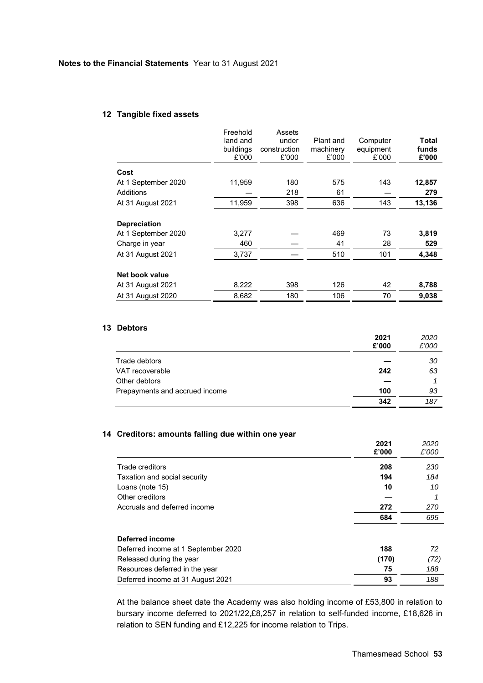### **12 Tangible fixed assets**

|                                                              | Freehold<br>land and<br>buildings<br>£'000 | Assets<br>under<br>construction<br>£'000 | Plant and<br>machinery<br>£'000 | Computer<br>equipment<br>£'000 | Total<br>funds<br>£'000 |
|--------------------------------------------------------------|--------------------------------------------|------------------------------------------|---------------------------------|--------------------------------|-------------------------|
| Cost                                                         |                                            |                                          |                                 |                                |                         |
| At 1 September 2020                                          | 11,959                                     | 180                                      | 575                             | 143                            | 12,857                  |
| Additions                                                    |                                            | 218                                      | 61                              |                                | 279                     |
| At 31 August 2021                                            | 11,959                                     | 398                                      | 636                             | 143                            | 13,136                  |
| <b>Depreciation</b><br>At 1 September 2020<br>Charge in year | 3,277<br>460                               |                                          | 469<br>41                       | 73<br>28                       | 3,819<br>529            |
| At 31 August 2021                                            | 3,737                                      |                                          | 510                             | 101                            | 4,348                   |
| Net book value<br>At 31 August 2021                          | 8,222                                      | 398                                      | 126                             | 42                             | 8,788                   |
| At 31 August 2020                                            | 8,682                                      | 180                                      | 106                             | 70                             | 9,038                   |

# **13 Debtors**

|                                | 2021<br>£'000 | 2020<br>£'000 |
|--------------------------------|---------------|---------------|
| Trade debtors                  |               | 30            |
| VAT recoverable                | 242           | 63            |
| Other debtors                  |               |               |
| Prepayments and accrued income | 100           | 93            |
|                                | 342           | 187           |

# **14 Creditors: amounts falling due within one year**

|                                     | 2021<br>£'000 | 2020<br>£'000 |
|-------------------------------------|---------------|---------------|
| Trade creditors                     | 208           | 230           |
| Taxation and social security        | 194           | 184           |
| Loans (note 15)                     | 10            | 10            |
| Other creditors                     |               |               |
| Accruals and deferred income        | 272           | 270           |
|                                     | 684           | 695           |
| Deferred income                     |               |               |
| Deferred income at 1 September 2020 | 188           | 72            |
| Released during the year            | (170)         | (72)          |
| Resources deferred in the year      | 75            | 188           |
| Deferred income at 31 August 2021   | 93            | 188           |

At the balance sheet date the Academy was also holding income of £53,800 in relation to bursary income deferred to 2021/22,£8,257 in relation to self-funded income, £18,626 in relation to SEN funding and £12,225 for income relation to Trips.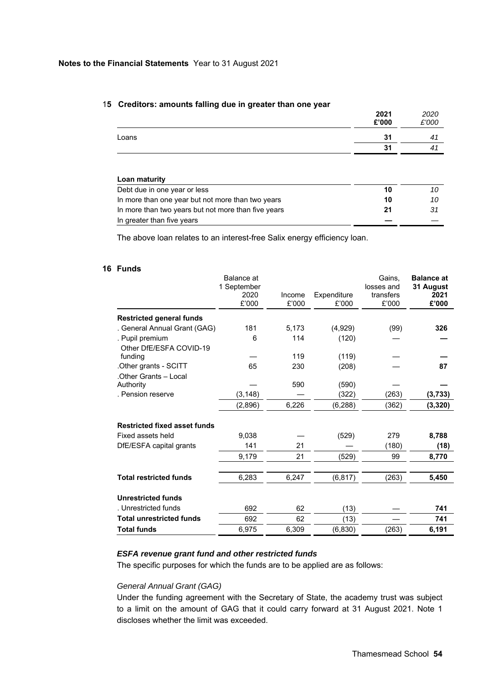|                              | 2021<br>£'000 | 2020<br>£'000 |
|------------------------------|---------------|---------------|
| Loans                        | 31            | 41            |
|                              | 31            | 41            |
| Loan maturity                |               |               |
| Debt due in one year or less | 10            |               |

#### 1**5 Creditors: amounts falling due in greater than one year**

In more than one year but not more than two years **10** *10*  In more than two years but not more than five years **21** *31*  In greater than five years **—** *—* 

The above loan relates to an interest-free Salix energy efficiency loan.

# **16 Funds**

|                                     | Balance at<br>1 September<br>2020<br>£'000 | Income<br>£'000 | Expenditure<br>£'000 | Gains.<br>losses and<br>transfers<br>£'000 | <b>Balance</b> at<br>31 August<br>2021<br>£'000 |
|-------------------------------------|--------------------------------------------|-----------------|----------------------|--------------------------------------------|-------------------------------------------------|
| <b>Restricted general funds</b>     |                                            |                 |                      |                                            |                                                 |
| . General Annual Grant (GAG)        | 181                                        | 5,173           | (4,929)              | (99)                                       | 326                                             |
| . Pupil premium                     | 6                                          | 114             | (120)                |                                            |                                                 |
| Other DfE/ESFA COVID-19             |                                            |                 |                      |                                            |                                                 |
| funding                             |                                            | 119             | (119)                |                                            |                                                 |
| Other grants - SCITT.               | 65                                         | 230             | (208)                |                                            | 87                                              |
| .Other Grants - Local               |                                            |                 |                      |                                            |                                                 |
| Authority                           |                                            | 590             | (590)                |                                            |                                                 |
| . Pension reserve                   | (3, 148)                                   |                 | (322)                | (263)                                      | (3,733)                                         |
|                                     | (2,896)                                    | 6,226           | (6, 288)             | (362)                                      | (3, 320)                                        |
| <b>Restricted fixed asset funds</b> |                                            |                 |                      |                                            |                                                 |
| Fixed assets held                   | 9.038                                      |                 | (529)                | 279                                        | 8,788                                           |
| DfE/ESFA capital grants             | 141                                        | 21              |                      | (180)                                      | (18)                                            |
|                                     | 9,179                                      | 21              | (529)                | 99                                         | 8,770                                           |
|                                     |                                            |                 |                      |                                            |                                                 |
| <b>Total restricted funds</b>       | 6,283                                      | 6,247           | (6, 817)             | (263)                                      | 5,450                                           |
| <b>Unrestricted funds</b>           |                                            |                 |                      |                                            |                                                 |
| . Unrestricted funds                | 692                                        | 62              | (13)                 |                                            | 741                                             |
| <b>Total unrestricted funds</b>     | 692                                        | 62              | (13)                 |                                            | 741                                             |
| <b>Total funds</b>                  | 6,975                                      | 6,309           | (6, 830)             | (263)                                      | 6,191                                           |

#### *ESFA revenue grant fund and other restricted funds*

The specific purposes for which the funds are to be applied are as follows:

# *General Annual Grant (GAG)*

Under the funding agreement with the Secretary of State, the academy trust was subject to a limit on the amount of GAG that it could carry forward at 31 August 2021. Note 1 discloses whether the limit was exceeded.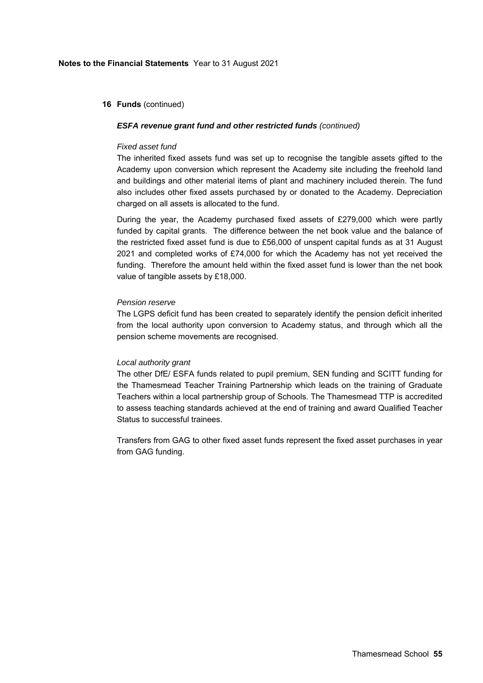#### **16 Funds** (continued)

#### *ESFA revenue grant fund and other restricted funds (continued)*

#### *Fixed asset fund*

The inherited fixed assets fund was set up to recognise the tangible assets gifted to the Academy upon conversion which represent the Academy site including the freehold land and buildings and other material items of plant and machinery included therein. The fund also includes other fixed assets purchased by or donated to the Academy. Depreciation charged on all assets is allocated to the fund.

During the year, the Academy purchased fixed assets of £279,000 which were partly funded by capital grants. The difference between the net book value and the balance of the restricted fixed asset fund is due to £56,000 of unspent capital funds as at 31 August 2021 and completed works of £74,000 for which the Academy has not yet received the funding. Therefore the amount held within the fixed asset fund is lower than the net book value of tangible assets by £18,000.

#### *Pension reserve*

The LGPS deficit fund has been created to separately identify the pension deficit inherited from the local authority upon conversion to Academy status, and through which all the pension scheme movements are recognised.

### *Local authority grant*

The other DfE/ ESFA funds related to pupil premium, SEN funding and SCITT funding for the Thamesmead Teacher Training Partnership which leads on the training of Graduate Teachers within a local partnership group of Schools. The Thamesmead TTP is accredited to assess teaching standards achieved at the end of training and award Qualified Teacher Status to successful trainees.

Transfers from GAG to other fixed asset funds represent the fixed asset purchases in year from GAG funding.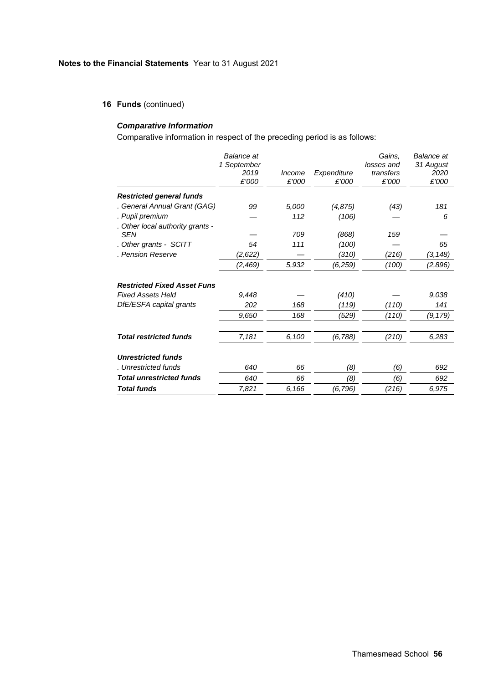**16 Funds** (continued)

# *Comparative Information*

Comparative information in respect of the preceding period is as follows:

|                                                | Balance at<br>1 September<br>2019<br>£'000 | Income<br>£'000 | Expenditure<br>£'000 | Gains,<br>losses and<br>transfers<br>£'000 | <b>Balance</b> at<br>31 August<br>2020<br>£'000 |
|------------------------------------------------|--------------------------------------------|-----------------|----------------------|--------------------------------------------|-------------------------------------------------|
| <b>Restricted general funds</b>                |                                            |                 |                      |                                            |                                                 |
| . General Annual Grant (GAG)                   | 99                                         | 5,000           | (4, 875)             | (43)                                       | 181                                             |
| . Pupil premium                                |                                            | 112             | (106)                |                                            | 6                                               |
| . Other local authority grants -<br><b>SEN</b> |                                            | 709             | (868)                | 159                                        |                                                 |
| . Other grants - SCITT                         | 54                                         | 111             | (100)                |                                            | 65                                              |
| . Pension Reserve                              | (2,622)                                    |                 | (310)                | (216)                                      | (3, 148)                                        |
|                                                | (2, 469)                                   | 5,932           | (6,259)              | (100)                                      | (2,896)                                         |
| <b>Restricted Fixed Asset Funs</b>             |                                            |                 |                      |                                            |                                                 |
| <b>Fixed Assets Held</b>                       | 9.448                                      |                 | (410)                |                                            | 9,038                                           |
| DfE/ESFA capital grants                        | 202                                        | 168             | (119)                | (110)                                      | 141                                             |
|                                                | 9,650                                      | 168             | (529)                | (110)                                      | (9, 179)                                        |
| <b>Total restricted funds</b>                  | 7,181                                      | 6,100           | (6, 788)             | (210)                                      | 6,283                                           |
| <b>Unrestricted funds</b>                      |                                            |                 |                      |                                            |                                                 |
| . Unrestricted funds                           | 640                                        | 66              | (8)                  | (6)                                        | 692                                             |
| <b>Total unrestricted funds</b>                | 640                                        | 66              | (8)                  | (6)                                        | 692                                             |
| <b>Total funds</b>                             | 7,821                                      | 6,166           | (6,796)              | (216)                                      | 6,975                                           |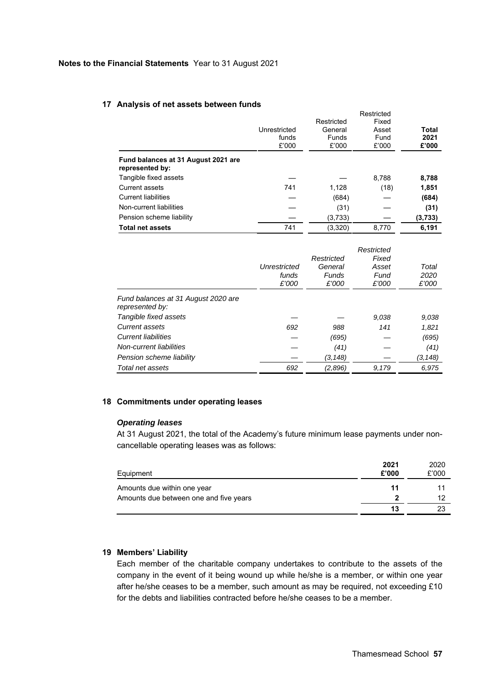### **17 Analysis of net assets between funds**

|                                                        | Unrestricted<br>funds<br>£'000 | Restricted<br>General<br><b>Funds</b><br>£'000 | Restricted<br>Fixed<br>Asset<br>Fund<br>£'000 | Total<br>2021<br>£'000 |
|--------------------------------------------------------|--------------------------------|------------------------------------------------|-----------------------------------------------|------------------------|
| Fund balances at 31 August 2021 are<br>represented by: |                                |                                                |                                               |                        |
| Tangible fixed assets                                  |                                |                                                | 8.788                                         | 8,788                  |
| <b>Current assets</b>                                  | 741                            | 1,128                                          | (18)                                          | 1,851                  |
| <b>Current liabilities</b>                             |                                | (684)                                          |                                               | (684)                  |
| Non-current liabilities                                |                                | (31)                                           |                                               | (31)                   |
| Pension scheme liability                               |                                | (3,733)                                        |                                               | (3,733)                |
| <b>Total net assets</b>                                | 741                            | (3,320)                                        | 8.770                                         | 6.191                  |

|                                                        | Unrestricted<br>funds<br>£'000 | Restricted<br>General<br>Funds<br>£'000 | Restricted<br>Fixed<br>Asset<br>Fund<br>£'000 | Total<br>2020<br>£'000 |
|--------------------------------------------------------|--------------------------------|-----------------------------------------|-----------------------------------------------|------------------------|
| Fund balances at 31 August 2020 are<br>represented by: |                                |                                         |                                               |                        |
| Tangible fixed assets                                  |                                |                                         | 9.038                                         | 9.038                  |
| <b>Current assets</b>                                  | 692                            | 988                                     | 141                                           | 1,821                  |
| <b>Current liabilities</b>                             |                                | (695)                                   |                                               | (695)                  |
| Non-current liabilities                                |                                | (41)                                    |                                               | (41)                   |
| Pension scheme liability                               |                                | (3, 148)                                |                                               | (3, 148)               |
| Total net assets                                       | 692                            | (2,896)                                 | 9,179                                         | 6.975                  |

### **18 Commitments under operating leases**

### *Operating leases*

At 31 August 2021, the total of the Academy's future minimum lease payments under noncancellable operating leases was as follows:

| Equipment                              | 2021<br>£'000 | 2020<br>£'000 |
|----------------------------------------|---------------|---------------|
| Amounts due within one year            | 11            |               |
| Amounts due between one and five years |               |               |
|                                        | 13            |               |

# **19 Members' Liability**

Each member of the charitable company undertakes to contribute to the assets of the company in the event of it being wound up while he/she is a member, or within one year after he/she ceases to be a member, such amount as may be required, not exceeding £10 for the debts and liabilities contracted before he/she ceases to be a member.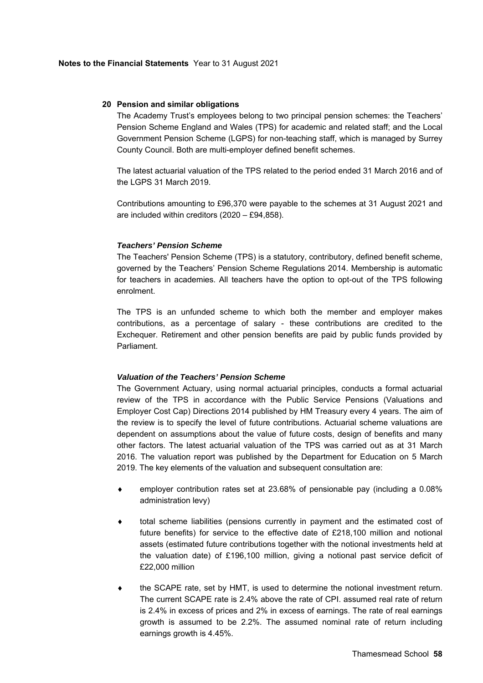#### **20 Pension and similar obligations**

The Academy Trust's employees belong to two principal pension schemes: the Teachers' Pension Scheme England and Wales (TPS) for academic and related staff; and the Local Government Pension Scheme (LGPS) for non-teaching staff, which is managed by Surrey County Council. Both are multi-employer defined benefit schemes.

The latest actuarial valuation of the TPS related to the period ended 31 March 2016 and of the LGPS 31 March 2019.

Contributions amounting to £96,370 were payable to the schemes at 31 August 2021 and are included within creditors (2020 – £94,858).

#### *Teachers' Pension Scheme*

The Teachers' Pension Scheme (TPS) is a statutory, contributory, defined benefit scheme, governed by the Teachers' Pension Scheme Regulations 2014. Membership is automatic for teachers in academies. All teachers have the option to opt-out of the TPS following enrolment.

The TPS is an unfunded scheme to which both the member and employer makes contributions, as a percentage of salary - these contributions are credited to the Exchequer. Retirement and other pension benefits are paid by public funds provided by Parliament.

#### *Valuation of the Teachers' Pension Scheme*

The Government Actuary, using normal actuarial principles, conducts a formal actuarial review of the TPS in accordance with the Public Service Pensions (Valuations and Employer Cost Cap) Directions 2014 published by HM Treasury every 4 years. The aim of the review is to specify the level of future contributions. Actuarial scheme valuations are dependent on assumptions about the value of future costs, design of benefits and many other factors. The latest actuarial valuation of the TPS was carried out as at 31 March 2016. The valuation report was published by the Department for Education on 5 March 2019. The key elements of the valuation and subsequent consultation are:

- employer contribution rates set at 23.68% of pensionable pay (including a 0.08% administration levy)
- total scheme liabilities (pensions currently in payment and the estimated cost of future benefits) for service to the effective date of £218,100 million and notional assets (estimated future contributions together with the notional investments held at the valuation date) of £196,100 million, giving a notional past service deficit of £22,000 million
- $\bullet$  the SCAPE rate, set by HMT, is used to determine the notional investment return. The current SCAPE rate is 2.4% above the rate of CPI. assumed real rate of return is 2.4% in excess of prices and 2% in excess of earnings. The rate of real earnings growth is assumed to be 2.2%. The assumed nominal rate of return including earnings growth is 4.45%.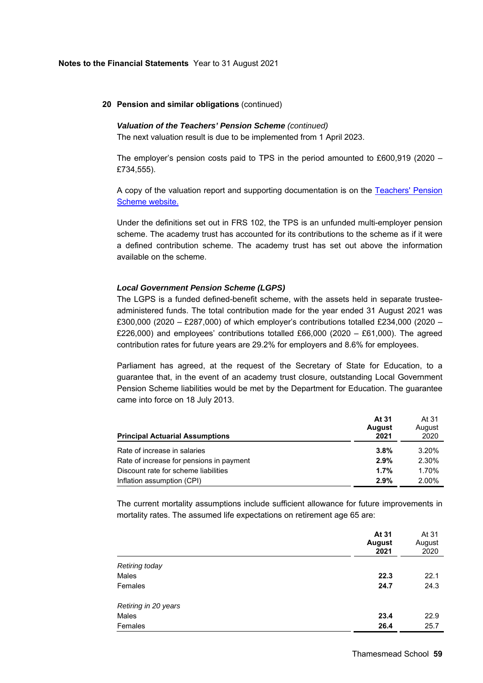#### **20 Pension and similar obligations** (continued)

#### *Valuation of the Teachers' Pension Scheme (continued)*

The next valuation result is due to be implemented from 1 April 2023.

The employer's pension costs paid to TPS in the period amounted to £600,919 (2020 – £734,555).

A copy of the valuation report and supporting documentation is on the Teachers' Pension Scheme website.

Under the definitions set out in FRS 102, the TPS is an unfunded multi-employer pension scheme. The academy trust has accounted for its contributions to the scheme as if it were a defined contribution scheme. The academy trust has set out above the information available on the scheme.

# *Local Government Pension Scheme (LGPS)*

The LGPS is a funded defined-benefit scheme, with the assets held in separate trusteeadministered funds. The total contribution made for the year ended 31 August 2021 was £300,000 (2020 – £287,000) of which employer's contributions totalled £234,000 (2020 – £226,000) and employees' contributions totalled £66,000 (2020 – £61,000). The agreed contribution rates for future years are 29.2% for employers and 8.6% for employees.

Parliament has agreed, at the request of the Secretary of State for Education, to a guarantee that, in the event of an academy trust closure, outstanding Local Government Pension Scheme liabilities would be met by the Department for Education. The guarantee came into force on 18 July 2013.

| <b>Principal Actuarial Assumptions</b>   | At 31<br><b>August</b><br>2021 | At 31<br>August<br>2020 |
|------------------------------------------|--------------------------------|-------------------------|
| Rate of increase in salaries             | $3.8\%$                        | 3.20%                   |
| Rate of increase for pensions in payment | 2.9%                           | 2.30%                   |
| Discount rate for scheme liabilities     | $1.7\%$                        | 1.70%                   |
| Inflation assumption (CPI)               | 2.9%                           | 2.00%                   |

The current mortality assumptions include sufficient allowance for future improvements in mortality rates. The assumed life expectations on retirement age 65 are:

|                      | At 31<br><b>August</b><br>2021 | At 31<br>August<br>2020 |
|----------------------|--------------------------------|-------------------------|
| Retiring today       |                                |                         |
| Males                | 22.3                           | 22.1                    |
| Females              | 24.7                           | 24.3                    |
| Retiring in 20 years |                                |                         |
| Males                | 23.4                           | 22.9                    |
| Females              | 26.4                           | 25.7                    |
|                      |                                |                         |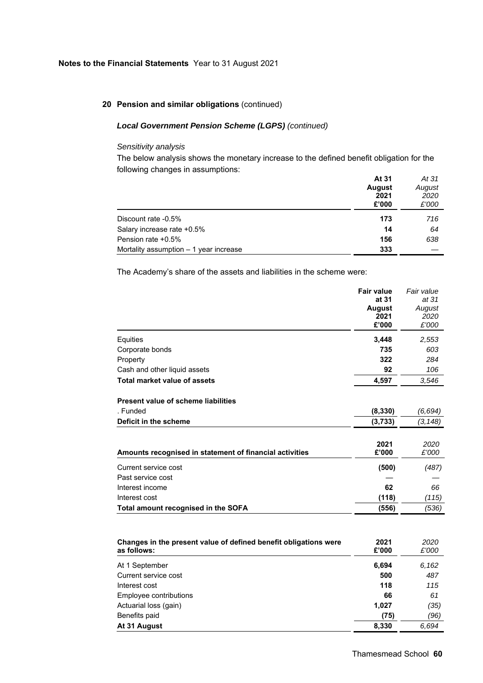# **20 Pension and similar obligations** (continued)

# *Local Government Pension Scheme (LGPS) (continued)*

# *Sensitivity analysis*

The below analysis shows the monetary increase to the defined benefit obligation for the following changes in assumptions: **At 31**  *At 31*

|                                         | AI 51<br><b>August</b><br>2021 | AI 31<br>August<br>2020 |
|-----------------------------------------|--------------------------------|-------------------------|
|                                         |                                |                         |
|                                         |                                |                         |
|                                         | £'000                          | £'000                   |
| Discount rate -0.5%                     | 173                            | 716                     |
| Salary increase rate +0.5%              | 14                             | 64                      |
| Pension rate +0.5%                      | 156                            | 638                     |
| Mortality assumption $-1$ year increase | 333                            |                         |

The Academy's share of the assets and liabilities in the scheme were:

|                                                                  | <b>Fair value</b> | Fair value |
|------------------------------------------------------------------|-------------------|------------|
|                                                                  | at 31             | at 31      |
|                                                                  | <b>August</b>     | August     |
|                                                                  | 2021              | 2020       |
|                                                                  | £'000             | £'000      |
| Equities                                                         | 3,448             | 2,553      |
| Corporate bonds                                                  | 735               | 603        |
| Property                                                         | 322               | 284        |
| Cash and other liquid assets                                     | 92                | 106        |
| <b>Total market value of assets</b>                              | 4,597             | 3,546      |
| <b>Present value of scheme liabilities</b>                       |                   |            |
| . Funded                                                         | (8, 330)          | (6,694)    |
| Deficit in the scheme                                            | (3,733)           | (3, 148)   |
|                                                                  |                   |            |
|                                                                  | 2021              | 2020       |
| Amounts recognised in statement of financial activities          | £'000             | £'000      |
| Current service cost                                             | (500)             | (487)      |
| Past service cost                                                |                   |            |
| Interest income                                                  | 62                | 66         |
| Interest cost                                                    | (118)             | (115)      |
| Total amount recognised in the SOFA                              | (556)             | (536)      |
|                                                                  |                   |            |
| Changes in the present value of defined benefit obligations were | 2021              | 2020       |

| Changes in the present value of defined benefit obligations were<br>as follows: | 2021<br>£'000 | 2020<br>£'000 |
|---------------------------------------------------------------------------------|---------------|---------------|
| At 1 September                                                                  | 6,694         | 6,162         |
| Current service cost                                                            | 500           | 487           |
| Interest cost                                                                   | 118           | 115           |
| Employee contributions                                                          | 66            | 61            |
| Actuarial loss (gain)                                                           | 1,027         | (35)          |
| Benefits paid                                                                   | (75)          | (96)          |
| At 31 August                                                                    | 8,330         | 6,694         |